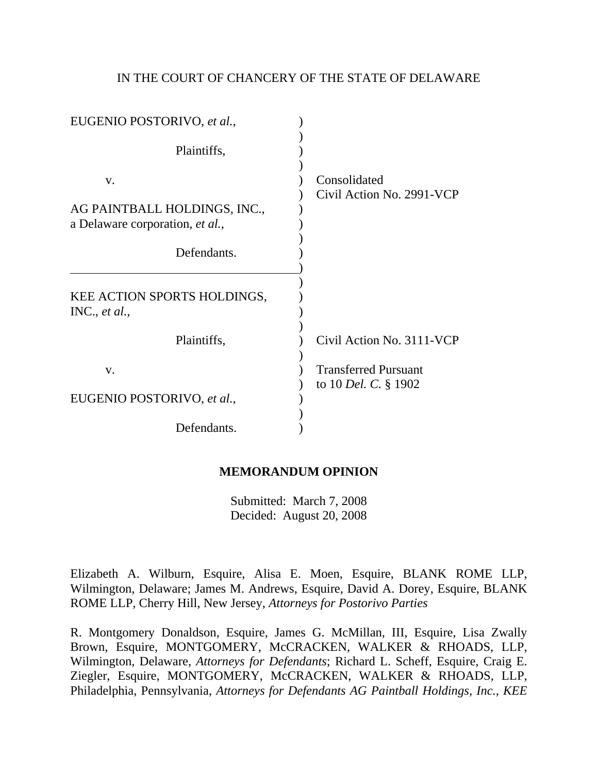### IN THE COURT OF CHANCERY OF THE STATE OF DELAWARE

| EUGENIO POSTORIVO, et al.,                                            |                                                            |
|-----------------------------------------------------------------------|------------------------------------------------------------|
| Plaintiffs,                                                           |                                                            |
| V.<br>AG PAINTBALL HOLDINGS, INC.,<br>a Delaware corporation, et al., | Consolidated<br>Civil Action No. 2991-VCP                  |
| Defendants.                                                           |                                                            |
| KEE ACTION SPORTS HOLDINGS,<br>INC., et al.,                          |                                                            |
| Plaintiffs,                                                           | Civil Action No. 3111-VCP                                  |
| V.                                                                    | <b>Transferred Pursuant</b><br>to 10 <i>Del. C.</i> § 1902 |
| EUGENIO POSTORIVO, et al.,                                            |                                                            |
| Defendants.                                                           |                                                            |

# **MEMORANDUM OPINION**

Submitted: March 7, 2008 Decided: August 20, 2008

Elizabeth A. Wilburn, Esquire, Alisa E. Moen, Esquire, BLANK ROME LLP, Wilmington, Delaware; James M. Andrews, Esquire, David A. Dorey, Esquire, BLANK ROME LLP, Cherry Hill, New Jersey, *Attorneys for Postorivo Parties* 

R. Montgomery Donaldson, Esquire, James G. McMillan, III, Esquire, Lisa Zwally Brown, Esquire, MONTGOMERY, McCRACKEN, WALKER & RHOADS, LLP, Wilmington, Delaware, *Attorneys for Defendants*; Richard L. Scheff, Esquire, Craig E. Ziegler, Esquire, MONTGOMERY, McCRACKEN, WALKER & RHOADS, LLP, Philadelphia, Pennsylvania, *Attorneys for Defendants AG Paintball Holdings, Inc., KEE*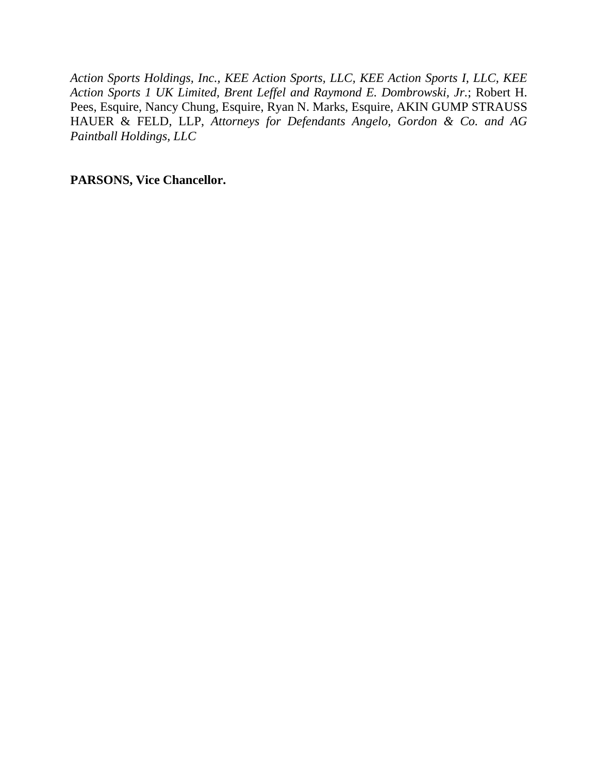*Action Sports Holdings, Inc., KEE Action Sports, LLC, KEE Action Sports I, LLC, KEE Action Sports 1 UK Limited, Brent Leffel and Raymond E. Dombrowski, Jr.*; Robert H. Pees, Esquire, Nancy Chung, Esquire, Ryan N. Marks, Esquire, AKIN GUMP STRAUSS HAUER & FELD, LLP, *Attorneys for Defendants Angelo, Gordon & Co. and AG Paintball Holdings, LLC* 

**PARSONS, Vice Chancellor.**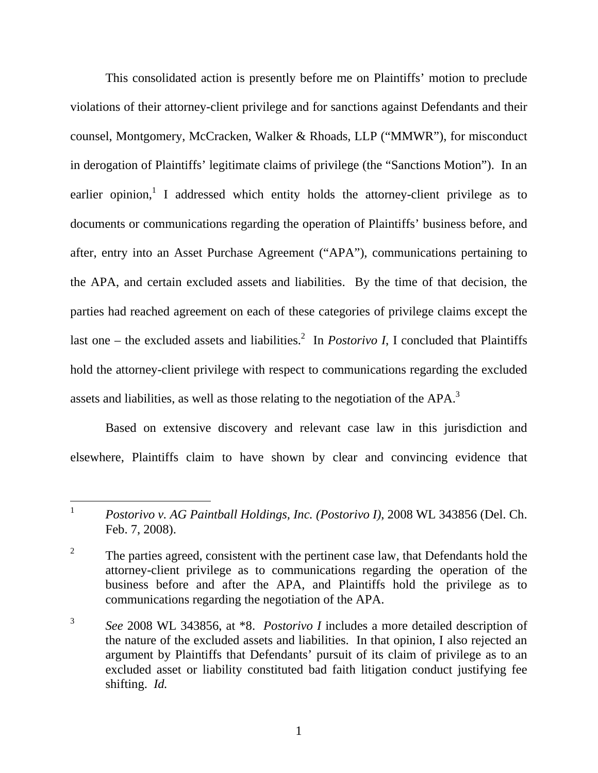This consolidated action is presently before me on Plaintiffs' motion to preclude violations of their attorney-client privilege and for sanctions against Defendants and their counsel, Montgomery, McCracken, Walker & Rhoads, LLP ("MMWR"), for misconduct in derogation of Plaintiffs' legitimate claims of privilege (the "Sanctions Motion"). In an earlier opinion,<sup>1</sup> I addressed which entity holds the attorney-client privilege as to documents or communications regarding the operation of Plaintiffs' business before, and after, entry into an Asset Purchase Agreement ("APA"), communications pertaining to the APA, and certain excluded assets and liabilities. By the time of that decision, the parties had reached agreement on each of these categories of privilege claims except the last one  $-$  the excluded assets and liabilities.<sup>2</sup> In *Postorivo I*, I concluded that Plaintiffs hold the attorney-client privilege with respect to communications regarding the excluded assets and liabilities, as well as those relating to the negotiation of the APA.<sup>3</sup>

Based on extensive discovery and relevant case law in this jurisdiction and elsewhere, Plaintiffs claim to have shown by clear and convincing evidence that

<sup>&</sup>lt;sup>1</sup> *Postorivo v. AG Paintball Holdings, Inc. (Postorivo I), 2008 WL 343856 (Del. Ch.* Feb. 7, 2008).

<sup>&</sup>lt;sup>2</sup> The parties agreed, consistent with the pertinent case law, that Defendants hold the attorney-client privilege as to communications regarding the operation of the business before and after the APA, and Plaintiffs hold the privilege as to communications regarding the negotiation of the APA.

<sup>3</sup> *See* 2008 WL 343856, at \*8. *Postorivo I* includes a more detailed description of the nature of the excluded assets and liabilities. In that opinion, I also rejected an argument by Plaintiffs that Defendants' pursuit of its claim of privilege as to an excluded asset or liability constituted bad faith litigation conduct justifying fee shifting. *Id.*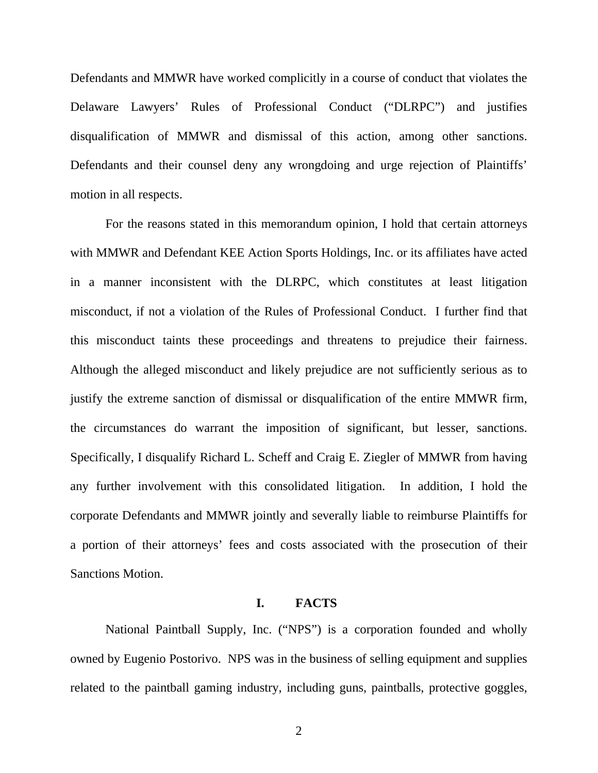Defendants and MMWR have worked complicitly in a course of conduct that violates the Delaware Lawyers' Rules of Professional Conduct ("DLRPC") and justifies disqualification of MMWR and dismissal of this action, among other sanctions. Defendants and their counsel deny any wrongdoing and urge rejection of Plaintiffs' motion in all respects.

For the reasons stated in this memorandum opinion, I hold that certain attorneys with MMWR and Defendant KEE Action Sports Holdings, Inc. or its affiliates have acted in a manner inconsistent with the DLRPC, which constitutes at least litigation misconduct, if not a violation of the Rules of Professional Conduct. I further find that this misconduct taints these proceedings and threatens to prejudice their fairness. Although the alleged misconduct and likely prejudice are not sufficiently serious as to justify the extreme sanction of dismissal or disqualification of the entire MMWR firm, the circumstances do warrant the imposition of significant, but lesser, sanctions. Specifically, I disqualify Richard L. Scheff and Craig E. Ziegler of MMWR from having any further involvement with this consolidated litigation. In addition, I hold the corporate Defendants and MMWR jointly and severally liable to reimburse Plaintiffs for a portion of their attorneys' fees and costs associated with the prosecution of their Sanctions Motion.

# **I. FACTS**

National Paintball Supply, Inc. ("NPS") is a corporation founded and wholly owned by Eugenio Postorivo. NPS was in the business of selling equipment and supplies related to the paintball gaming industry, including guns, paintballs, protective goggles,

2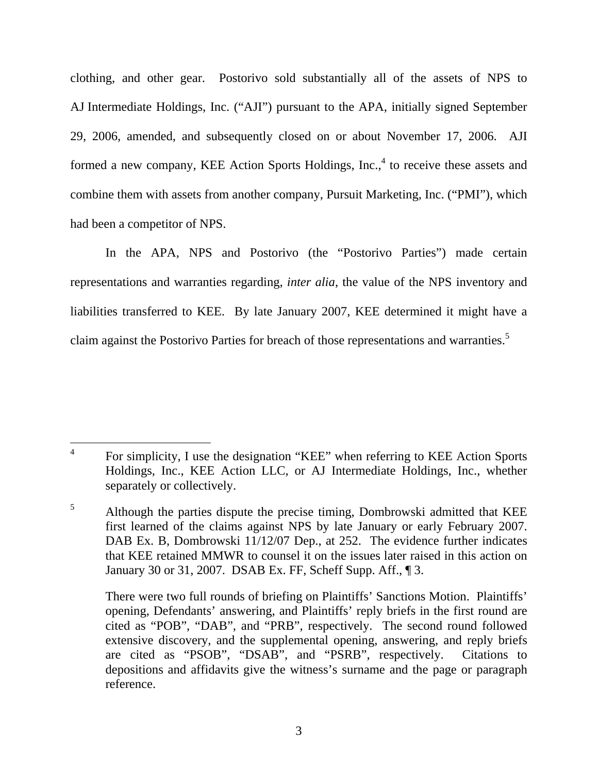clothing, and other gear. Postorivo sold substantially all of the assets of NPS to AJ Intermediate Holdings, Inc. ("AJI") pursuant to the APA, initially signed September 29, 2006, amended, and subsequently closed on or about November 17, 2006. AJI formed a new company, KEE Action Sports Holdings,  $Inc.^4$  to receive these assets and combine them with assets from another company, Pursuit Marketing, Inc. ("PMI"), which had been a competitor of NPS.

In the APA, NPS and Postorivo (the "Postorivo Parties") made certain representations and warranties regarding, *inter alia*, the value of the NPS inventory and liabilities transferred to KEE. By late January 2007, KEE determined it might have a claim against the Postorivo Parties for breach of those representations and warranties.<sup>5</sup>

<sup>&</sup>lt;sup>4</sup> For simplicity, I use the designation "KEE" when referring to KEE Action Sports Holdings, Inc., KEE Action LLC, or AJ Intermediate Holdings, Inc., whether separately or collectively.

<sup>&</sup>lt;sup>5</sup> Although the parties dispute the precise timing, Dombrowski admitted that KEE first learned of the claims against NPS by late January or early February 2007. DAB Ex. B, Dombrowski 11/12/07 Dep., at 252. The evidence further indicates that KEE retained MMWR to counsel it on the issues later raised in this action on January 30 or 31, 2007. DSAB Ex. FF, Scheff Supp. Aff., ¶ 3.

There were two full rounds of briefing on Plaintiffs' Sanctions Motion. Plaintiffs' opening, Defendants' answering, and Plaintiffs' reply briefs in the first round are cited as "POB", "DAB", and "PRB", respectively. The second round followed extensive discovery, and the supplemental opening, answering, and reply briefs are cited as "PSOB", "DSAB", and "PSRB", respectively. Citations to depositions and affidavits give the witness's surname and the page or paragraph reference.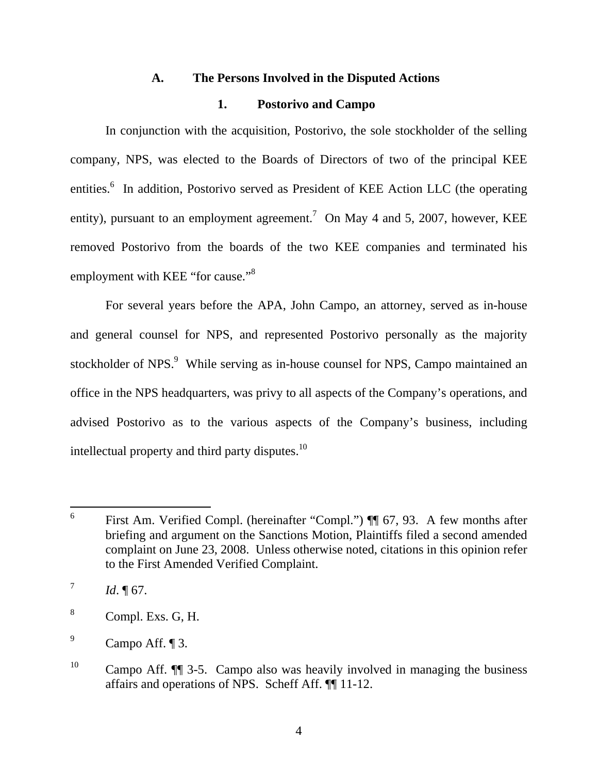### **A. The Persons Involved in the Disputed Actions**

### **1. Postorivo and Campo**

In conjunction with the acquisition, Postorivo, the sole stockholder of the selling company, NPS, was elected to the Boards of Directors of two of the principal KEE entities.<sup>6</sup> In addition, Postorivo served as President of KEE Action LLC (the operating entity), pursuant to an employment agreement.<sup>7</sup> On May 4 and 5, 2007, however, KEE removed Postorivo from the boards of the two KEE companies and terminated his employment with KEE "for cause."<sup>8</sup>

For several years before the APA, John Campo, an attorney, served as in-house and general counsel for NPS, and represented Postorivo personally as the majority stockholder of NPS.<sup>9</sup> While serving as in-house counsel for NPS, Campo maintained an office in the NPS headquarters, was privy to all aspects of the Company's operations, and advised Postorivo as to the various aspects of the Company's business, including intellectual property and third party disputes.<sup>10</sup>

 <sup>6</sup> First Am. Verified Compl. (hereinafter "Compl.") ¶¶ 67, 93. A few months after briefing and argument on the Sanctions Motion, Plaintiffs filed a second amended complaint on June 23, 2008. Unless otherwise noted, citations in this opinion refer to the First Amended Verified Complaint.

 $^{7}$  *Id.* 167.

 $8$  Compl. Exs. G, H.

 $^9$  Campo Aff.  $\P$  3.

<sup>&</sup>lt;sup>10</sup> Campo Aff.  $\P$  3-5. Campo also was heavily involved in managing the business affairs and operations of NPS. Scheff Aff. ¶¶ 11-12.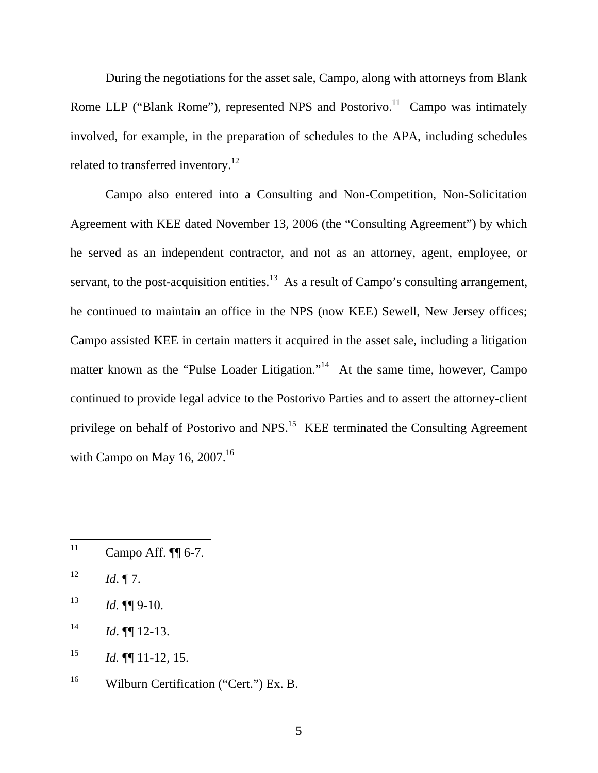During the negotiations for the asset sale, Campo, along with attorneys from Blank Rome LLP ("Blank Rome"), represented NPS and Postorivo.<sup>11</sup> Campo was intimately involved, for example, in the preparation of schedules to the APA, including schedules related to transferred inventory.<sup>12</sup>

Campo also entered into a Consulting and Non-Competition, Non-Solicitation Agreement with KEE dated November 13, 2006 (the "Consulting Agreement") by which he served as an independent contractor, and not as an attorney, agent, employee, or servant, to the post-acquisition entities.<sup>13</sup> As a result of Campo's consulting arrangement, he continued to maintain an office in the NPS (now KEE) Sewell, New Jersey offices; Campo assisted KEE in certain matters it acquired in the asset sale, including a litigation matter known as the "Pulse Loader Litigation."<sup>14</sup> At the same time, however, Campo continued to provide legal advice to the Postorivo Parties and to assert the attorney-client privilege on behalf of Postorivo and NPS.15 KEE terminated the Consulting Agreement with Campo on May 16,  $2007$ .<sup>16</sup>

<sup>&</sup>lt;sup>11</sup> Campo Aff.  $\P$ [6-7.

 $12$  *Id.* 17.

 $13$  *Id.*  $\P\P$  9-10.

 $14$  *Id.*  $\P\P$  12-13.

<sup>&</sup>lt;sup>15</sup> *Id.*  $\P\P$  11-12, 15.

<sup>&</sup>lt;sup>16</sup> Wilburn Certification ("Cert.") Ex. B.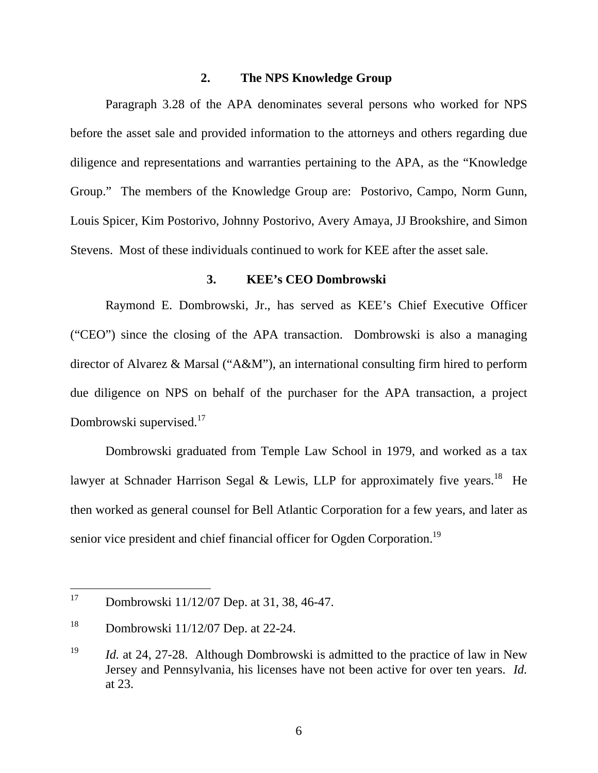# **2. The NPS Knowledge Group**

Paragraph 3.28 of the APA denominates several persons who worked for NPS before the asset sale and provided information to the attorneys and others regarding due diligence and representations and warranties pertaining to the APA, as the "Knowledge Group." The members of the Knowledge Group are: Postorivo, Campo, Norm Gunn, Louis Spicer, Kim Postorivo, Johnny Postorivo, Avery Amaya, JJ Brookshire, and Simon Stevens. Most of these individuals continued to work for KEE after the asset sale.

#### **3. KEE's CEO Dombrowski**

Raymond E. Dombrowski, Jr., has served as KEE's Chief Executive Officer ("CEO") since the closing of the APA transaction. Dombrowski is also a managing director of Alvarez & Marsal ("A&M"), an international consulting firm hired to perform due diligence on NPS on behalf of the purchaser for the APA transaction, a project Dombrowski supervised.<sup>17</sup>

Dombrowski graduated from Temple Law School in 1979, and worked as a tax lawyer at Schnader Harrison Segal & Lewis, LLP for approximately five years.<sup>18</sup> He then worked as general counsel for Bell Atlantic Corporation for a few years, and later as senior vice president and chief financial officer for Ogden Corporation.<sup>19</sup>

<sup>&</sup>lt;sup>17</sup> Dombrowski 11/12/07 Dep. at 31, 38, 46-47.

<sup>&</sup>lt;sup>18</sup> Dombrowski  $11/12/07$  Dep. at 22-24.

<sup>&</sup>lt;sup>19</sup> *Id.* at 24, 27-28. Although Dombrowski is admitted to the practice of law in New Jersey and Pennsylvania, his licenses have not been active for over ten years. *Id.* at 23.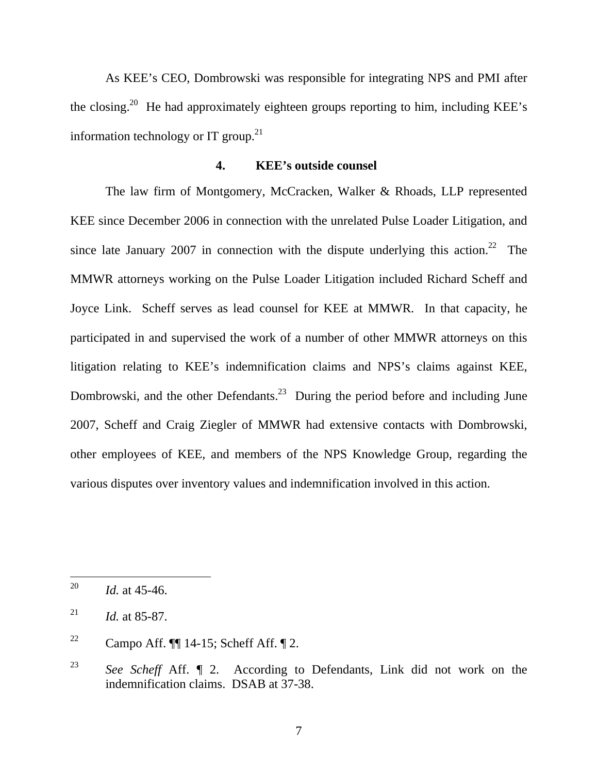As KEE's CEO, Dombrowski was responsible for integrating NPS and PMI after the closing.<sup>20</sup> He had approximately eighteen groups reporting to him, including KEE's information technology or IT group. $^{21}$ 

## **4. KEE's outside counsel**

The law firm of Montgomery, McCracken, Walker & Rhoads, LLP represented KEE since December 2006 in connection with the unrelated Pulse Loader Litigation, and since late January 2007 in connection with the dispute underlying this action.<sup>22</sup> The MMWR attorneys working on the Pulse Loader Litigation included Richard Scheff and Joyce Link. Scheff serves as lead counsel for KEE at MMWR. In that capacity, he participated in and supervised the work of a number of other MMWR attorneys on this litigation relating to KEE's indemnification claims and NPS's claims against KEE, Dombrowski, and the other Defendants.<sup>23</sup> During the period before and including June 2007, Scheff and Craig Ziegler of MMWR had extensive contacts with Dombrowski, other employees of KEE, and members of the NPS Knowledge Group, regarding the various disputes over inventory values and indemnification involved in this action.

 <sup>20</sup> *Id.* at 45-46.

<sup>&</sup>lt;sup>21</sup> *Id.* at 85-87.

<sup>&</sup>lt;sup>22</sup> Campo Aff.  $\P$  14-15; Scheff Aff.  $\P$  2.

<sup>23</sup> *See Scheff* Aff. ¶ 2. According to Defendants, Link did not work on the indemnification claims. DSAB at 37-38.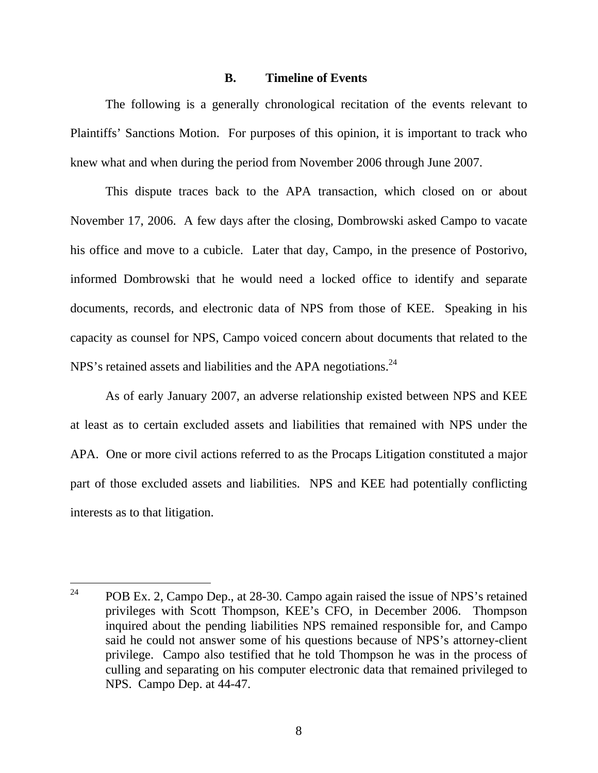#### **B. Timeline of Events**

The following is a generally chronological recitation of the events relevant to Plaintiffs' Sanctions Motion. For purposes of this opinion, it is important to track who knew what and when during the period from November 2006 through June 2007.

This dispute traces back to the APA transaction, which closed on or about November 17, 2006. A few days after the closing, Dombrowski asked Campo to vacate his office and move to a cubicle. Later that day, Campo, in the presence of Postorivo, informed Dombrowski that he would need a locked office to identify and separate documents, records, and electronic data of NPS from those of KEE. Speaking in his capacity as counsel for NPS, Campo voiced concern about documents that related to the NPS's retained assets and liabilities and the APA negotiations.<sup>24</sup>

As of early January 2007, an adverse relationship existed between NPS and KEE at least as to certain excluded assets and liabilities that remained with NPS under the APA. One or more civil actions referred to as the Procaps Litigation constituted a major part of those excluded assets and liabilities. NPS and KEE had potentially conflicting interests as to that litigation.

<sup>&</sup>lt;sup>24</sup> POB Ex. 2, Campo Dep., at 28-30. Campo again raised the issue of NPS's retained privileges with Scott Thompson, KEE's CFO, in December 2006. Thompson inquired about the pending liabilities NPS remained responsible for, and Campo said he could not answer some of his questions because of NPS's attorney-client privilege. Campo also testified that he told Thompson he was in the process of culling and separating on his computer electronic data that remained privileged to NPS. Campo Dep. at 44-47.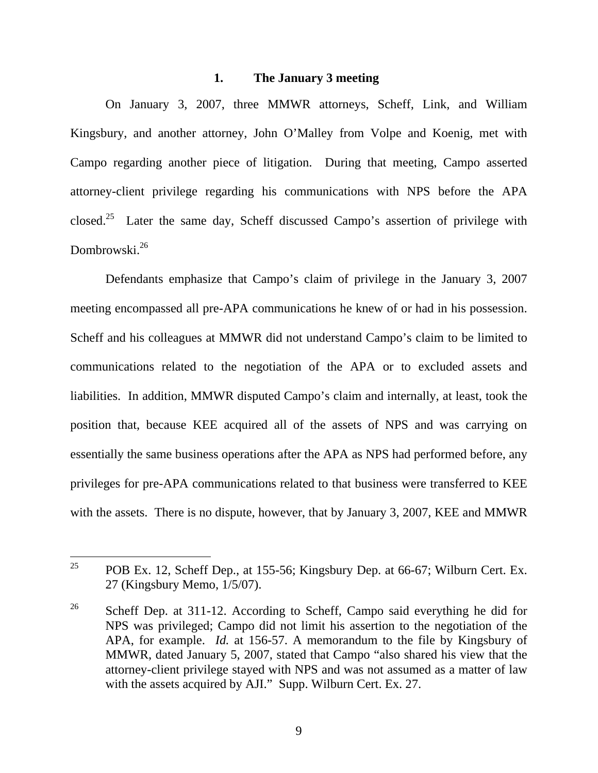#### **1. The January 3 meeting**

On January 3, 2007, three MMWR attorneys, Scheff, Link, and William Kingsbury, and another attorney, John O'Malley from Volpe and Koenig, met with Campo regarding another piece of litigation. During that meeting, Campo asserted attorney-client privilege regarding his communications with NPS before the APA closed.25 Later the same day, Scheff discussed Campo's assertion of privilege with Dombrowski<sup>26</sup>

Defendants emphasize that Campo's claim of privilege in the January 3, 2007 meeting encompassed all pre-APA communications he knew of or had in his possession. Scheff and his colleagues at MMWR did not understand Campo's claim to be limited to communications related to the negotiation of the APA or to excluded assets and liabilities. In addition, MMWR disputed Campo's claim and internally, at least, took the position that, because KEE acquired all of the assets of NPS and was carrying on essentially the same business operations after the APA as NPS had performed before, any privileges for pre-APA communications related to that business were transferred to KEE with the assets. There is no dispute, however, that by January 3, 2007, KEE and MMWR

<sup>&</sup>lt;sup>25</sup> POB Ex. 12, Scheff Dep., at 155-56; Kingsbury Dep. at 66-67; Wilburn Cert. Ex. 27 (Kingsbury Memo, 1/5/07).

<sup>&</sup>lt;sup>26</sup> Scheff Dep. at 311-12. According to Scheff, Campo said everything he did for NPS was privileged; Campo did not limit his assertion to the negotiation of the APA, for example. *Id.* at 156-57. A memorandum to the file by Kingsbury of MMWR, dated January 5, 2007, stated that Campo "also shared his view that the attorney-client privilege stayed with NPS and was not assumed as a matter of law with the assets acquired by AJI." Supp. Wilburn Cert. Ex. 27.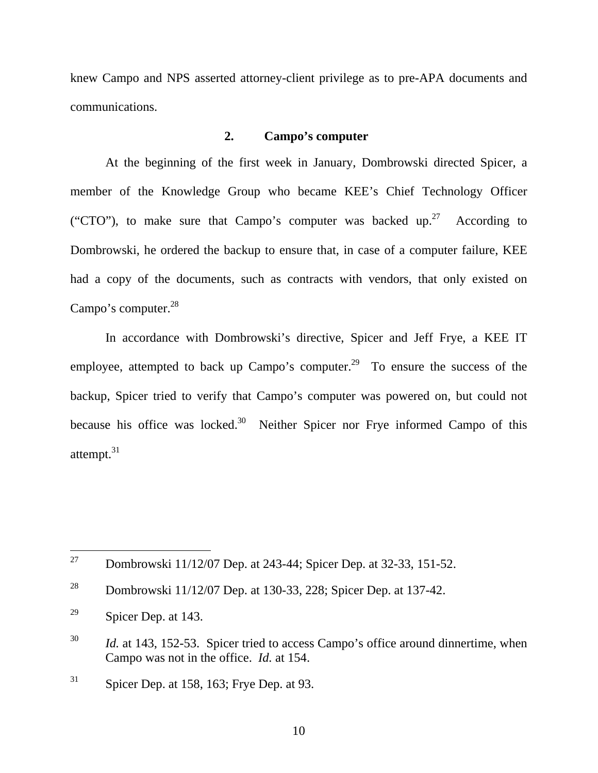knew Campo and NPS asserted attorney-client privilege as to pre-APA documents and communications.

# **2. Campo's computer**

At the beginning of the first week in January, Dombrowski directed Spicer, a member of the Knowledge Group who became KEE's Chief Technology Officer ("CTO"), to make sure that Campo's computer was backed up.<sup>27</sup> According to Dombrowski, he ordered the backup to ensure that, in case of a computer failure, KEE had a copy of the documents, such as contracts with vendors, that only existed on Campo's computer.<sup>28</sup>

In accordance with Dombrowski's directive, Spicer and Jeff Frye, a KEE IT employee, attempted to back up Campo's computer.<sup>29</sup> To ensure the success of the backup, Spicer tried to verify that Campo's computer was powered on, but could not because his office was locked.<sup>30</sup> Neither Spicer nor Frye informed Campo of this attempt.<sup>31</sup>

<sup>&</sup>lt;sup>27</sup> Dombrowski 11/12/07 Dep. at 243-44; Spicer Dep. at 32-33, 151-52.

<sup>28</sup> Dombrowski 11/12/07 Dep. at 130-33, 228; Spicer Dep. at 137-42.

 $29$  Spicer Dep. at 143.

<sup>&</sup>lt;sup>30</sup> *Id.* at 143, 152-53. Spicer tried to access Campo's office around dinnertime, when Campo was not in the office. *Id.* at 154.

 $31$  Spicer Dep. at 158, 163; Frye Dep. at 93.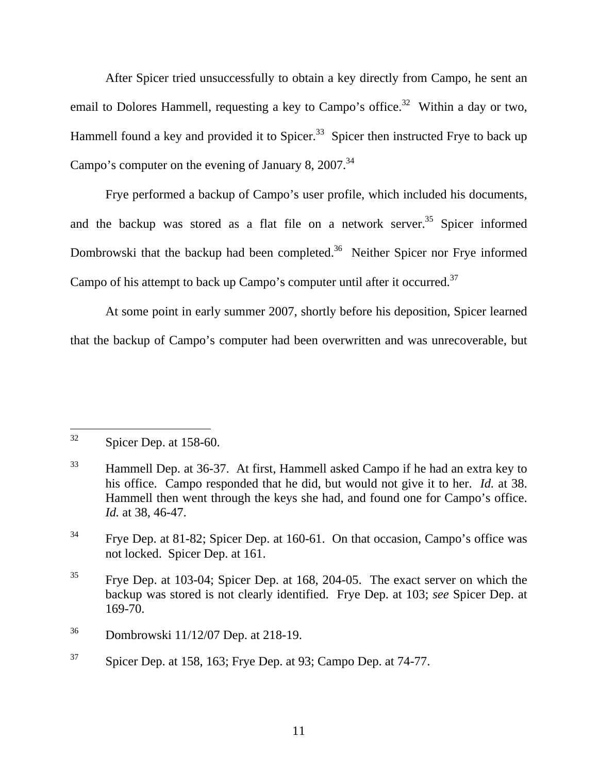After Spicer tried unsuccessfully to obtain a key directly from Campo, he sent an email to Dolores Hammell, requesting a key to Campo's office.<sup>32</sup> Within a day or two, Hammell found a key and provided it to Spicer.<sup>33</sup> Spicer then instructed Frye to back up Campo's computer on the evening of January 8,  $2007.<sup>34</sup>$ 

Frye performed a backup of Campo's user profile, which included his documents, and the backup was stored as a flat file on a network server.<sup>35</sup> Spicer informed Dombrowski that the backup had been completed.<sup>36</sup> Neither Spicer nor Frye informed Campo of his attempt to back up Campo's computer until after it occurred.<sup>37</sup>

At some point in early summer 2007, shortly before his deposition, Spicer learned that the backup of Campo's computer had been overwritten and was unrecoverable, but

 $32$  Spicer Dep. at 158-60.

<sup>&</sup>lt;sup>33</sup> Hammell Dep. at 36-37. At first, Hammell asked Campo if he had an extra key to his office. Campo responded that he did, but would not give it to her. *Id.* at 38. Hammell then went through the keys she had, and found one for Campo's office. *Id.* at 38, 46-47.

<sup>34</sup> Frye Dep. at 81-82; Spicer Dep. at 160-61. On that occasion, Campo's office was not locked. Spicer Dep. at 161.

<sup>35</sup> Frye Dep. at 103-04; Spicer Dep. at 168, 204-05. The exact server on which the backup was stored is not clearly identified. Frye Dep. at 103; *see* Spicer Dep. at 169-70.

<sup>36</sup> Dombrowski 11/12/07 Dep. at 218-19.

 $37$  Spicer Dep. at 158, 163; Frye Dep. at 93; Campo Dep. at 74-77.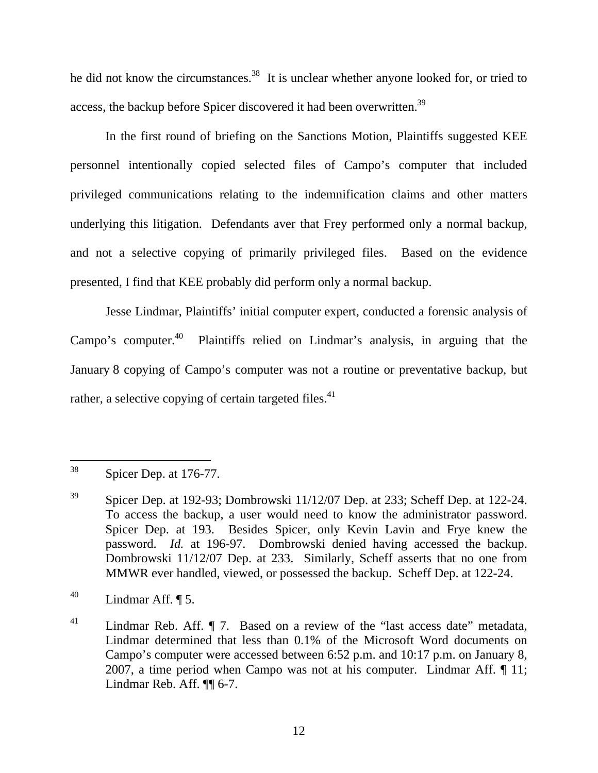he did not know the circumstances.<sup>38</sup> It is unclear whether anyone looked for, or tried to access, the backup before Spicer discovered it had been overwritten.<sup>39</sup>

In the first round of briefing on the Sanctions Motion, Plaintiffs suggested KEE personnel intentionally copied selected files of Campo's computer that included privileged communications relating to the indemnification claims and other matters underlying this litigation. Defendants aver that Frey performed only a normal backup, and not a selective copying of primarily privileged files. Based on the evidence presented, I find that KEE probably did perform only a normal backup.

Jesse Lindmar, Plaintiffs' initial computer expert, conducted a forensic analysis of Campo's computer.<sup>40</sup> Plaintiffs relied on Lindmar's analysis, in arguing that the January 8 copying of Campo's computer was not a routine or preventative backup, but rather, a selective copying of certain targeted files. $41$ 

 $38$  Spicer Dep. at 176-77.

 $39$  Spicer Dep. at 192-93; Dombrowski 11/12/07 Dep. at 233; Scheff Dep. at 122-24. To access the backup, a user would need to know the administrator password. Spicer Dep. at 193. Besides Spicer, only Kevin Lavin and Frye knew the password. *Id.* at 196-97. Dombrowski denied having accessed the backup. Dombrowski 11/12/07 Dep. at 233. Similarly, Scheff asserts that no one from MMWR ever handled, viewed, or possessed the backup. Scheff Dep. at 122-24.

 $^{40}$  Lindmar Aff.  $\P$  5.

<sup>&</sup>lt;sup>41</sup> Lindmar Reb. Aff. *[]* 7. Based on a review of the "last access date" metadata, Lindmar determined that less than 0.1% of the Microsoft Word documents on Campo's computer were accessed between 6:52 p.m. and 10:17 p.m. on January 8, 2007, a time period when Campo was not at his computer. Lindmar Aff. ¶ 11; Lindmar Reb. Aff. ¶¶ 6-7.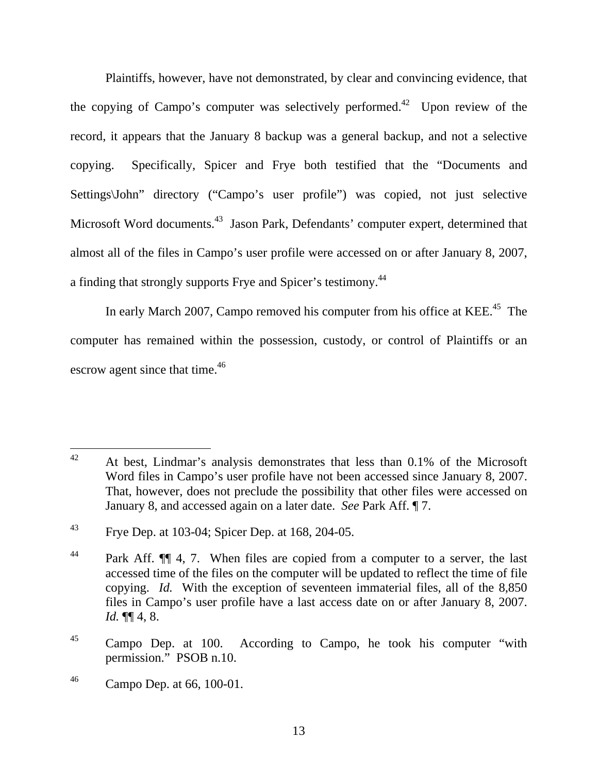Plaintiffs, however, have not demonstrated, by clear and convincing evidence, that the copying of Campo's computer was selectively performed.<sup>42</sup> Upon review of the record, it appears that the January 8 backup was a general backup, and not a selective copying. Specifically, Spicer and Frye both testified that the "Documents and Settings\John" directory ("Campo's user profile") was copied, not just selective Microsoft Word documents.<sup>43</sup> Jason Park, Defendants' computer expert, determined that almost all of the files in Campo's user profile were accessed on or after January 8, 2007, a finding that strongly supports Frye and Spicer's testimony.<sup>44</sup>

In early March 2007, Campo removed his computer from his office at KEE.<sup>45</sup> The computer has remained within the possession, custody, or control of Plaintiffs or an escrow agent since that time.<sup>46</sup>

 $42$  At best, Lindmar's analysis demonstrates that less than 0.1% of the Microsoft Word files in Campo's user profile have not been accessed since January 8, 2007. That, however, does not preclude the possibility that other files were accessed on January 8, and accessed again on a later date. *See* Park Aff. ¶ 7.

<sup>43</sup> Frye Dep. at 103-04; Spicer Dep. at 168, 204-05.

<sup>&</sup>lt;sup>44</sup> Park Aff.  $\P\P$  4, 7. When files are copied from a computer to a server, the last accessed time of the files on the computer will be updated to reflect the time of file copying. *Id.* With the exception of seventeen immaterial files, all of the 8,850 files in Campo's user profile have a last access date on or after January 8, 2007. *Id.* ¶¶ 4, 8.

<sup>&</sup>lt;sup>45</sup> Campo Dep. at 100. According to Campo, he took his computer "with permission." PSOB n.10.

<sup>46</sup> Campo Dep. at 66, 100-01.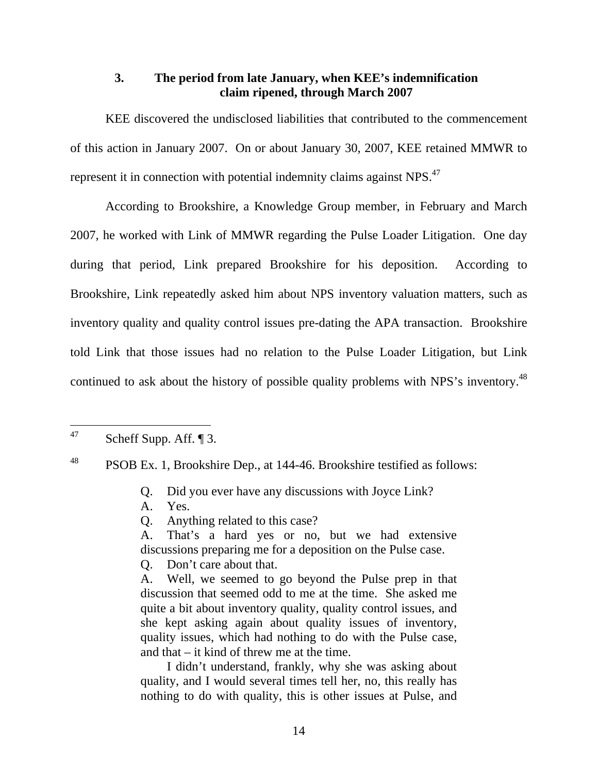# **3. The period from late January, when KEE's indemnification claim ripened, through March 2007**

KEE discovered the undisclosed liabilities that contributed to the commencement of this action in January 2007. On or about January 30, 2007, KEE retained MMWR to represent it in connection with potential indemnity claims against NPS.<sup>47</sup>

According to Brookshire, a Knowledge Group member, in February and March 2007, he worked with Link of MMWR regarding the Pulse Loader Litigation. One day during that period, Link prepared Brookshire for his deposition. According to Brookshire, Link repeatedly asked him about NPS inventory valuation matters, such as inventory quality and quality control issues pre-dating the APA transaction. Brookshire told Link that those issues had no relation to the Pulse Loader Litigation, but Link continued to ask about the history of possible quality problems with NPS's inventory.<sup>48</sup>

- Q. Did you ever have any discussions with Joyce Link?
- A. Yes.
- Q. Anything related to this case?
- A. That's a hard yes or no, but we had extensive discussions preparing me for a deposition on the Pulse case.
- Q. Don't care about that.

A. Well, we seemed to go beyond the Pulse prep in that discussion that seemed odd to me at the time. She asked me quite a bit about inventory quality, quality control issues, and she kept asking again about quality issues of inventory, quality issues, which had nothing to do with the Pulse case, and that – it kind of threw me at the time.

I didn't understand, frankly, why she was asking about quality, and I would several times tell her, no, this really has nothing to do with quality, this is other issues at Pulse, and

 $47$  Scheff Supp. Aff.  $\P$ 3.

<sup>&</sup>lt;sup>48</sup> PSOB Ex. 1, Brookshire Dep., at 144-46. Brookshire testified as follows: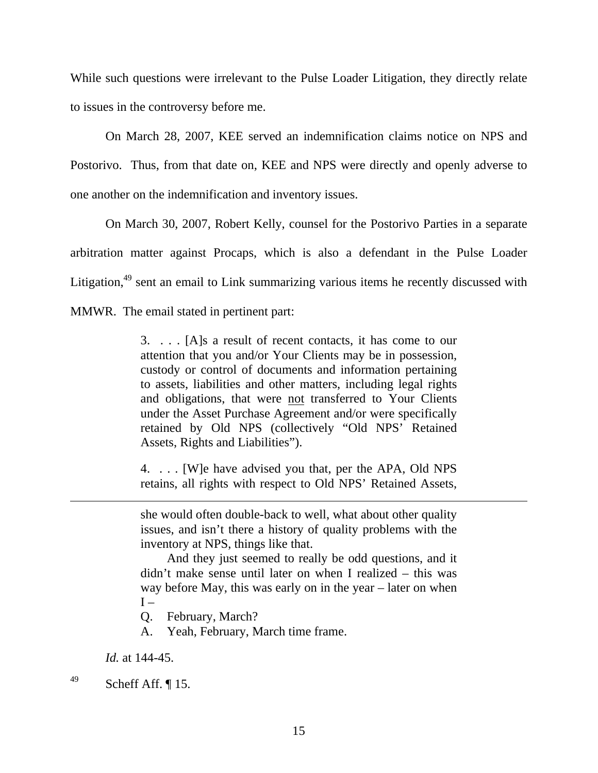While such questions were irrelevant to the Pulse Loader Litigation, they directly relate to issues in the controversy before me.

On March 28, 2007, KEE served an indemnification claims notice on NPS and Postorivo. Thus, from that date on, KEE and NPS were directly and openly adverse to one another on the indemnification and inventory issues.

On March 30, 2007, Robert Kelly, counsel for the Postorivo Parties in a separate arbitration matter against Procaps, which is also a defendant in the Pulse Loader Litigation,<sup>49</sup> sent an email to Link summarizing various items he recently discussed with MMWR. The email stated in pertinent part:

> 3. . . . [A]s a result of recent contacts, it has come to our attention that you and/or Your Clients may be in possession, custody or control of documents and information pertaining to assets, liabilities and other matters, including legal rights and obligations, that were not transferred to Your Clients under the Asset Purchase Agreement and/or were specifically retained by Old NPS (collectively "Old NPS' Retained Assets, Rights and Liabilities").

> 4. . . . [W]e have advised you that, per the APA, Old NPS retains, all rights with respect to Old NPS' Retained Assets,

> she would often double-back to well, what about other quality issues, and isn't there a history of quality problems with the inventory at NPS, things like that.

> And they just seemed to really be odd questions, and it didn't make sense until later on when I realized – this was way before May, this was early on in the year – later on when  $I -$

Q. February, March?

A. Yeah, February, March time frame.

 *Id.* at 144-45.

 $^{49}$  Scheff Aff. [15.]

 $\overline{a}$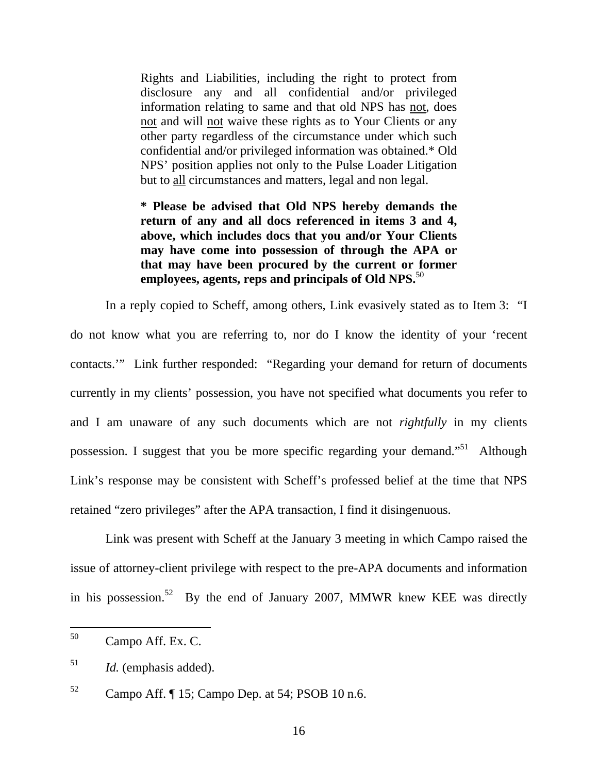Rights and Liabilities, including the right to protect from disclosure any and all confidential and/or privileged information relating to same and that old NPS has not, does not and will not waive these rights as to Your Clients or any other party regardless of the circumstance under which such confidential and/or privileged information was obtained.\* Old NPS' position applies not only to the Pulse Loader Litigation but to all circumstances and matters, legal and non legal.

**\* Please be advised that Old NPS hereby demands the return of any and all docs referenced in items 3 and 4, above, which includes docs that you and/or Your Clients may have come into possession of through the APA or that may have been procured by the current or former employees, agents, reps and principals of Old NPS.**<sup>50</sup>

In a reply copied to Scheff, among others, Link evasively stated as to Item 3: "I do not know what you are referring to, nor do I know the identity of your 'recent contacts.'" Link further responded: "Regarding your demand for return of documents currently in my clients' possession, you have not specified what documents you refer to and I am unaware of any such documents which are not *rightfully* in my clients possession. I suggest that you be more specific regarding your demand.<sup> $51$ </sup> Although Link's response may be consistent with Scheff's professed belief at the time that NPS retained "zero privileges" after the APA transaction, I find it disingenuous.

Link was present with Scheff at the January 3 meeting in which Campo raised the issue of attorney-client privilege with respect to the pre-APA documents and information in his possession.<sup>52</sup> By the end of January 2007, MMWR knew KEE was directly

 <sup>50</sup> Campo Aff. Ex. C.

<sup>51</sup> *Id.* (emphasis added).

 $52$  Campo Aff.  $\llbracket$  15; Campo Dep. at 54; PSOB 10 n.6.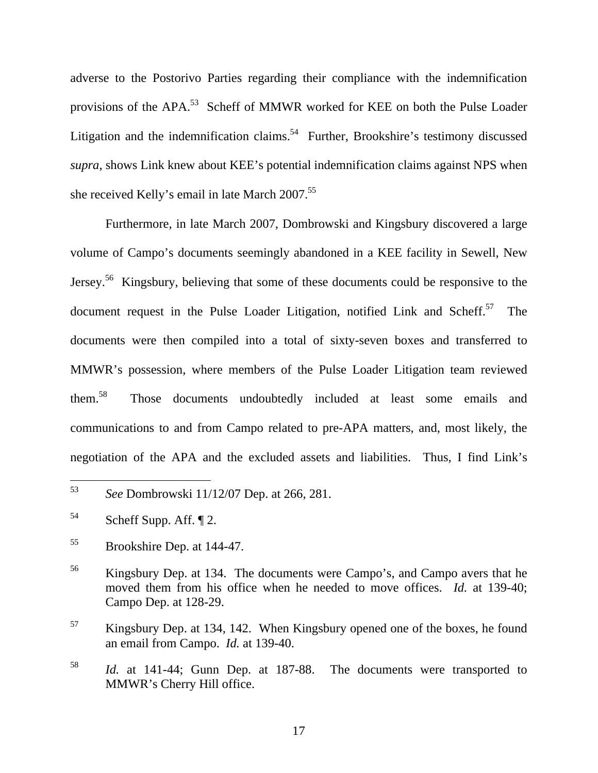adverse to the Postorivo Parties regarding their compliance with the indemnification provisions of the APA.<sup>53</sup> Scheff of MMWR worked for KEE on both the Pulse Loader Litigation and the indemnification claims.<sup>54</sup> Further, Brookshire's testimony discussed *supra*, shows Link knew about KEE's potential indemnification claims against NPS when she received Kelly's email in late March 2007.<sup>55</sup>

Furthermore, in late March 2007, Dombrowski and Kingsbury discovered a large volume of Campo's documents seemingly abandoned in a KEE facility in Sewell, New Jersey.56 Kingsbury, believing that some of these documents could be responsive to the document request in the Pulse Loader Litigation, notified Link and Scheff.<sup>57</sup> The documents were then compiled into a total of sixty-seven boxes and transferred to MMWR's possession, where members of the Pulse Loader Litigation team reviewed them.58 Those documents undoubtedly included at least some emails and communications to and from Campo related to pre-APA matters, and, most likely, the negotiation of the APA and the excluded assets and liabilities. Thus, I find Link's

 <sup>53</sup> *See* Dombrowski 11/12/07 Dep. at 266, 281.

 $54$  Scheff Supp. Aff.  $\P$  2.

<sup>55</sup> Brookshire Dep. at 144-47.

<sup>56</sup> Kingsbury Dep. at 134. The documents were Campo's, and Campo avers that he moved them from his office when he needed to move offices. *Id.* at 139-40; Campo Dep. at 128-29.

<sup>&</sup>lt;sup>57</sup> Kingsbury Dep. at 134, 142. When Kingsbury opened one of the boxes, he found an email from Campo. *Id.* at 139-40.

<sup>58</sup> *Id.* at 141-44; Gunn Dep. at 187-88. The documents were transported to MMWR's Cherry Hill office.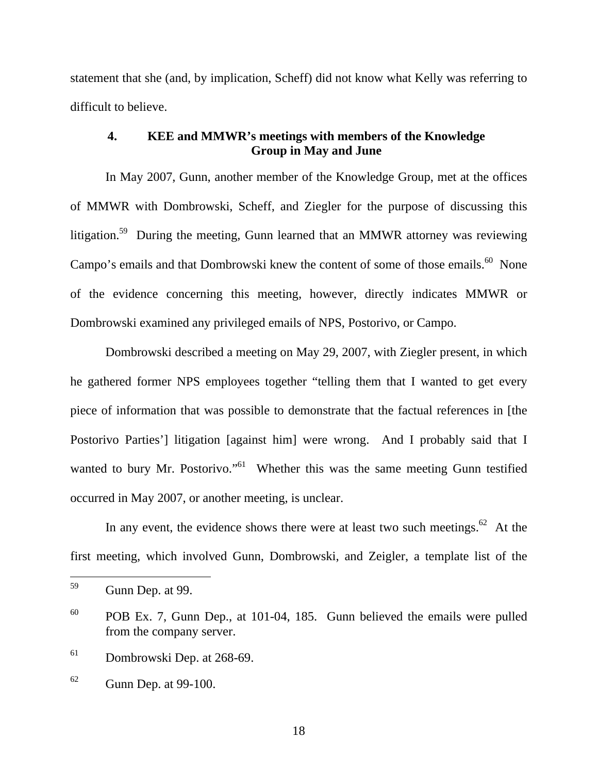statement that she (and, by implication, Scheff) did not know what Kelly was referring to difficult to believe.

# **4. KEE and MMWR's meetings with members of the Knowledge Group in May and June**

In May 2007, Gunn, another member of the Knowledge Group, met at the offices of MMWR with Dombrowski, Scheff, and Ziegler for the purpose of discussing this litigation.<sup>59</sup> During the meeting, Gunn learned that an MMWR attorney was reviewing Campo's emails and that Dombrowski knew the content of some of those emails.<sup>60</sup> None of the evidence concerning this meeting, however, directly indicates MMWR or Dombrowski examined any privileged emails of NPS, Postorivo, or Campo.

Dombrowski described a meeting on May 29, 2007, with Ziegler present, in which he gathered former NPS employees together "telling them that I wanted to get every piece of information that was possible to demonstrate that the factual references in [the Postorivo Parties'] litigation [against him] were wrong. And I probably said that I wanted to bury Mr. Postorivo."<sup>61</sup> Whether this was the same meeting Gunn testified occurred in May 2007, or another meeting, is unclear.

In any event, the evidence shows there were at least two such meetings. $62$  At the first meeting, which involved Gunn, Dombrowski, and Zeigler, a template list of the

<sup>61</sup> Dombrowski Dep. at 268-69.

18

 <sup>59</sup> Gunn Dep. at 99.

<sup>60</sup> POB Ex. 7, Gunn Dep., at 101-04, 185. Gunn believed the emails were pulled from the company server.

 $62$  Gunn Dep. at 99-100.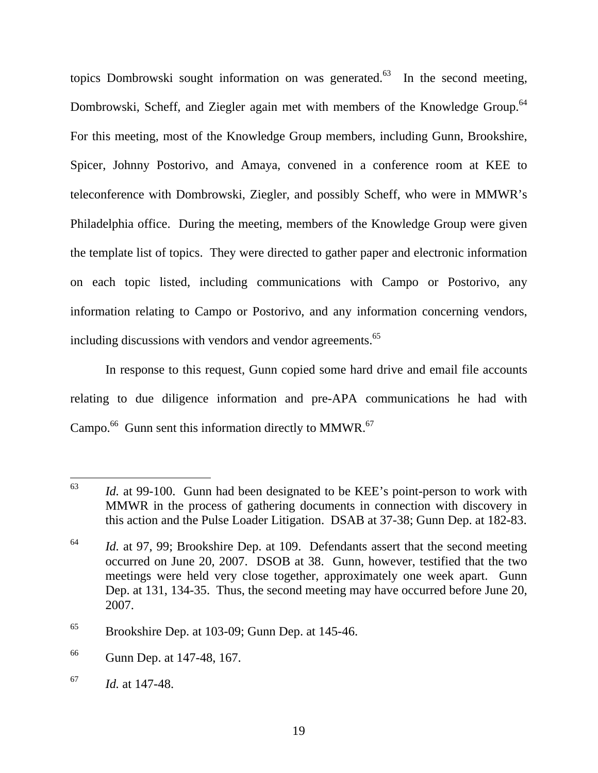topics Dombrowski sought information on was generated.<sup>63</sup> In the second meeting, Dombrowski, Scheff, and Ziegler again met with members of the Knowledge Group.<sup>64</sup> For this meeting, most of the Knowledge Group members, including Gunn, Brookshire, Spicer, Johnny Postorivo, and Amaya, convened in a conference room at KEE to teleconference with Dombrowski, Ziegler, and possibly Scheff, who were in MMWR's Philadelphia office. During the meeting, members of the Knowledge Group were given the template list of topics. They were directed to gather paper and electronic information on each topic listed, including communications with Campo or Postorivo, any information relating to Campo or Postorivo, and any information concerning vendors, including discussions with vendors and vendor agreements.<sup>65</sup>

In response to this request, Gunn copied some hard drive and email file accounts relating to due diligence information and pre-APA communications he had with Campo. $^{66}$  Gunn sent this information directly to MMWR. $^{67}$ 

 <sup>63</sup> *Id.* at 99-100. Gunn had been designated to be KEE's point-person to work with MMWR in the process of gathering documents in connection with discovery in this action and the Pulse Loader Litigation. DSAB at 37-38; Gunn Dep. at 182-83.

<sup>&</sup>lt;sup>64</sup> *Id.* at 97, 99; Brookshire Dep. at 109. Defendants assert that the second meeting occurred on June 20, 2007. DSOB at 38. Gunn, however, testified that the two meetings were held very close together, approximately one week apart. Gunn Dep. at 131, 134-35. Thus, the second meeting may have occurred before June 20, 2007.

 $65$  Brookshire Dep. at 103-09; Gunn Dep. at 145-46.

<sup>66</sup> Gunn Dep. at 147-48, 167.

<sup>67</sup> *Id.* at 147-48.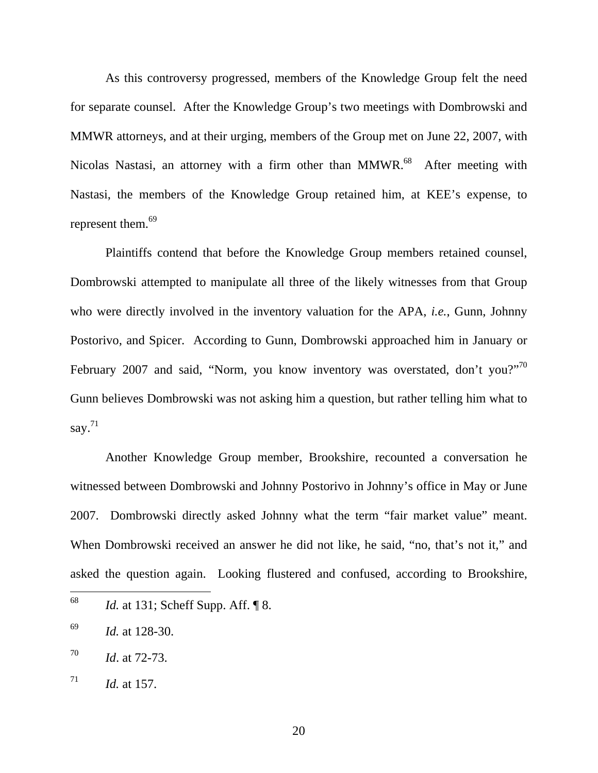As this controversy progressed, members of the Knowledge Group felt the need for separate counsel. After the Knowledge Group's two meetings with Dombrowski and MMWR attorneys, and at their urging, members of the Group met on June 22, 2007, with Nicolas Nastasi, an attorney with a firm other than MMWR.<sup>68</sup> After meeting with Nastasi, the members of the Knowledge Group retained him, at KEE's expense, to represent them.<sup>69</sup>

Plaintiffs contend that before the Knowledge Group members retained counsel, Dombrowski attempted to manipulate all three of the likely witnesses from that Group who were directly involved in the inventory valuation for the APA, *i.e.*, Gunn, Johnny Postorivo, and Spicer. According to Gunn, Dombrowski approached him in January or February 2007 and said, "Norm, you know inventory was overstated, don't you?"<sup>70</sup> Gunn believes Dombrowski was not asking him a question, but rather telling him what to say. $71$ 

Another Knowledge Group member, Brookshire, recounted a conversation he witnessed between Dombrowski and Johnny Postorivo in Johnny's office in May or June 2007. Dombrowski directly asked Johnny what the term "fair market value" meant. When Dombrowski received an answer he did not like, he said, "no, that's not it," and asked the question again. Looking flustered and confused, according to Brookshire,

 <sup>68</sup> *Id.* at 131; Scheff Supp. Aff. ¶ 8.

<sup>69</sup> *Id.* at 128-30.

<sup>70</sup> *Id*. at 72-73.

 $^{71}$  *Id.* at 157.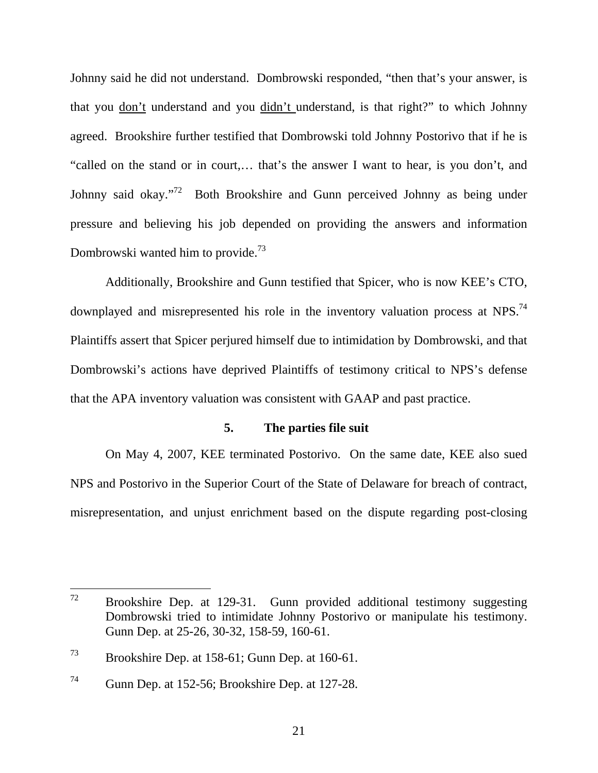Johnny said he did not understand. Dombrowski responded, "then that's your answer, is that you don't understand and you didn't understand, is that right?" to which Johnny agreed. Brookshire further testified that Dombrowski told Johnny Postorivo that if he is "called on the stand or in court,… that's the answer I want to hear, is you don't, and Johnny said okay."<sup>72</sup> Both Brookshire and Gunn perceived Johnny as being under pressure and believing his job depended on providing the answers and information Dombrowski wanted him to provide.<sup>73</sup>

Additionally, Brookshire and Gunn testified that Spicer, who is now KEE's CTO, downplayed and misrepresented his role in the inventory valuation process at NPS.<sup>74</sup> Plaintiffs assert that Spicer perjured himself due to intimidation by Dombrowski, and that Dombrowski's actions have deprived Plaintiffs of testimony critical to NPS's defense that the APA inventory valuation was consistent with GAAP and past practice.

#### **5. The parties file suit**

On May 4, 2007, KEE terminated Postorivo. On the same date, KEE also sued NPS and Postorivo in the Superior Court of the State of Delaware for breach of contract, misrepresentation, and unjust enrichment based on the dispute regarding post-closing

 $72$  Brookshire Dep. at 129-31. Gunn provided additional testimony suggesting Dombrowski tried to intimidate Johnny Postorivo or manipulate his testimony. Gunn Dep. at 25-26, 30-32, 158-59, 160-61.

<sup>73</sup> Brookshire Dep. at 158-61; Gunn Dep. at 160-61.

<sup>74</sup> Gunn Dep. at 152-56; Brookshire Dep. at 127-28.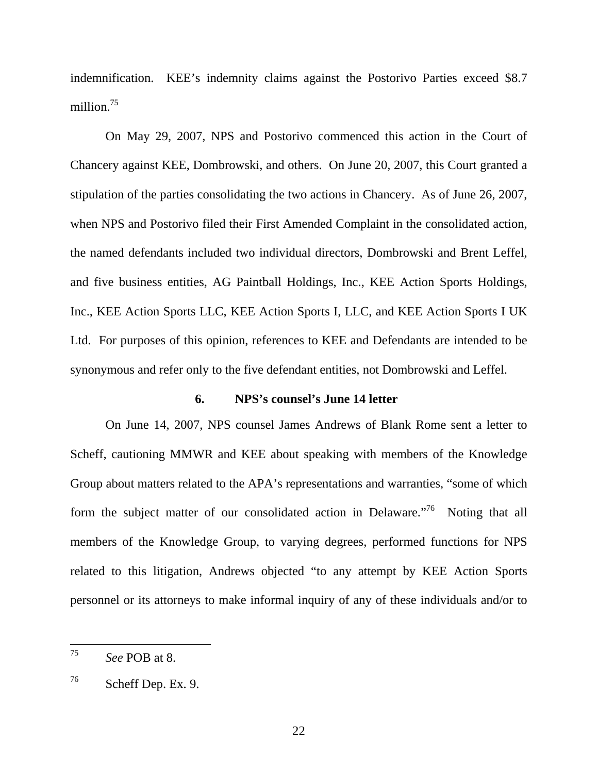indemnification. KEE's indemnity claims against the Postorivo Parties exceed \$8.7 million.<sup>75</sup>

On May 29, 2007, NPS and Postorivo commenced this action in the Court of Chancery against KEE, Dombrowski, and others. On June 20, 2007, this Court granted a stipulation of the parties consolidating the two actions in Chancery. As of June 26, 2007, when NPS and Postorivo filed their First Amended Complaint in the consolidated action, the named defendants included two individual directors, Dombrowski and Brent Leffel, and five business entities, AG Paintball Holdings, Inc., KEE Action Sports Holdings, Inc., KEE Action Sports LLC, KEE Action Sports I, LLC, and KEE Action Sports I UK Ltd. For purposes of this opinion, references to KEE and Defendants are intended to be synonymous and refer only to the five defendant entities, not Dombrowski and Leffel.

# **6. NPS's counsel's June 14 letter**

On June 14, 2007, NPS counsel James Andrews of Blank Rome sent a letter to Scheff, cautioning MMWR and KEE about speaking with members of the Knowledge Group about matters related to the APA's representations and warranties, "some of which form the subject matter of our consolidated action in Delaware.<sup>76</sup> Noting that all members of the Knowledge Group, to varying degrees, performed functions for NPS related to this litigation, Andrews objected "to any attempt by KEE Action Sports personnel or its attorneys to make informal inquiry of any of these individuals and/or to

 <sup>75</sup> *See* POB at 8.

 $76$  Scheff Dep. Ex. 9.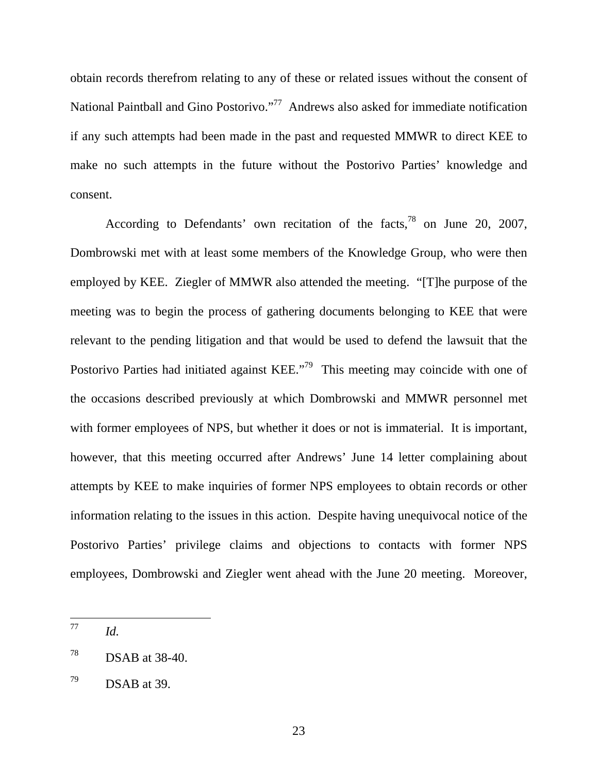obtain records therefrom relating to any of these or related issues without the consent of National Paintball and Gino Postorivo."<sup>77</sup> Andrews also asked for immediate notification if any such attempts had been made in the past and requested MMWR to direct KEE to make no such attempts in the future without the Postorivo Parties' knowledge and consent.

According to Defendants' own recitation of the facts,  $78$  on June 20, 2007, Dombrowski met with at least some members of the Knowledge Group, who were then employed by KEE. Ziegler of MMWR also attended the meeting. "[T]he purpose of the meeting was to begin the process of gathering documents belonging to KEE that were relevant to the pending litigation and that would be used to defend the lawsuit that the Postorivo Parties had initiated against KEE."<sup>79</sup> This meeting may coincide with one of the occasions described previously at which Dombrowski and MMWR personnel met with former employees of NPS, but whether it does or not is immaterial. It is important, however, that this meeting occurred after Andrews' June 14 letter complaining about attempts by KEE to make inquiries of former NPS employees to obtain records or other information relating to the issues in this action. Despite having unequivocal notice of the Postorivo Parties' privilege claims and objections to contacts with former NPS employees, Dombrowski and Ziegler went ahead with the June 20 meeting. Moreover,

 $^{77}$  *Id.* 

 $^{78}$  DSAB at 38-40.

 $^{79}$  DSAB at 39.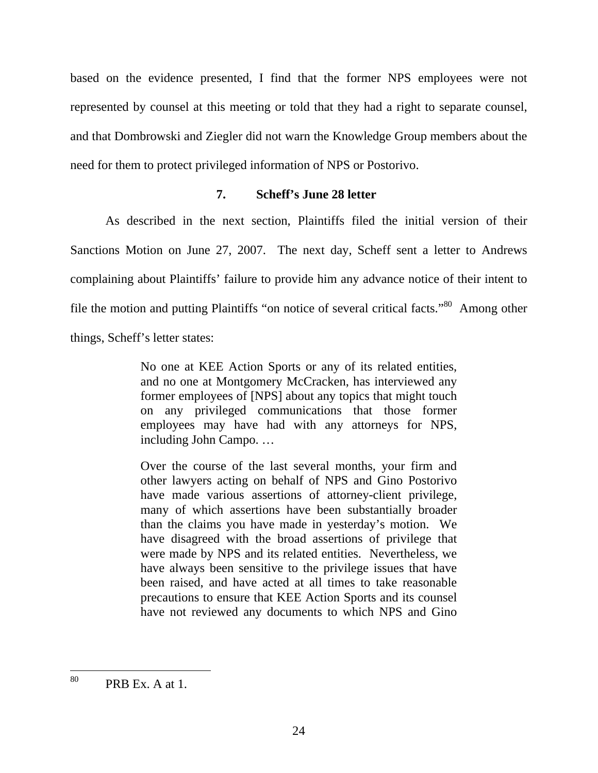based on the evidence presented, I find that the former NPS employees were not represented by counsel at this meeting or told that they had a right to separate counsel, and that Dombrowski and Ziegler did not warn the Knowledge Group members about the need for them to protect privileged information of NPS or Postorivo.

# **7. Scheff's June 28 letter**

As described in the next section, Plaintiffs filed the initial version of their Sanctions Motion on June 27, 2007. The next day, Scheff sent a letter to Andrews complaining about Plaintiffs' failure to provide him any advance notice of their intent to file the motion and putting Plaintiffs "on notice of several critical facts."80 Among other things, Scheff's letter states:

> No one at KEE Action Sports or any of its related entities, and no one at Montgomery McCracken, has interviewed any former employees of [NPS] about any topics that might touch on any privileged communications that those former employees may have had with any attorneys for NPS, including John Campo. …

> Over the course of the last several months, your firm and other lawyers acting on behalf of NPS and Gino Postorivo have made various assertions of attorney-client privilege, many of which assertions have been substantially broader than the claims you have made in yesterday's motion. We have disagreed with the broad assertions of privilege that were made by NPS and its related entities. Nevertheless, we have always been sensitive to the privilege issues that have been raised, and have acted at all times to take reasonable precautions to ensure that KEE Action Sports and its counsel have not reviewed any documents to which NPS and Gino

 $80$  PRB Ex. A at 1.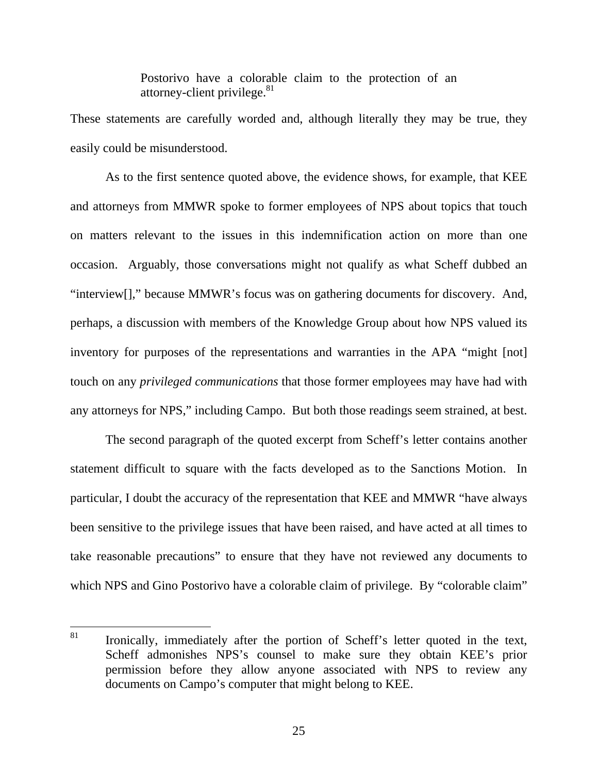Postorivo have a colorable claim to the protection of an attorney-client privilege. $81$ 

These statements are carefully worded and, although literally they may be true, they easily could be misunderstood.

As to the first sentence quoted above, the evidence shows, for example, that KEE and attorneys from MMWR spoke to former employees of NPS about topics that touch on matters relevant to the issues in this indemnification action on more than one occasion. Arguably, those conversations might not qualify as what Scheff dubbed an "interview[]," because MMWR's focus was on gathering documents for discovery. And, perhaps, a discussion with members of the Knowledge Group about how NPS valued its inventory for purposes of the representations and warranties in the APA "might [not] touch on any *privileged communications* that those former employees may have had with any attorneys for NPS," including Campo. But both those readings seem strained, at best.

The second paragraph of the quoted excerpt from Scheff's letter contains another statement difficult to square with the facts developed as to the Sanctions Motion. In particular, I doubt the accuracy of the representation that KEE and MMWR "have always been sensitive to the privilege issues that have been raised, and have acted at all times to take reasonable precautions" to ensure that they have not reviewed any documents to which NPS and Gino Postorivo have a colorable claim of privilege. By "colorable claim"

<sup>&</sup>lt;sup>81</sup> Ironically, immediately after the portion of Scheff's letter quoted in the text, Scheff admonishes NPS's counsel to make sure they obtain KEE's prior permission before they allow anyone associated with NPS to review any documents on Campo's computer that might belong to KEE.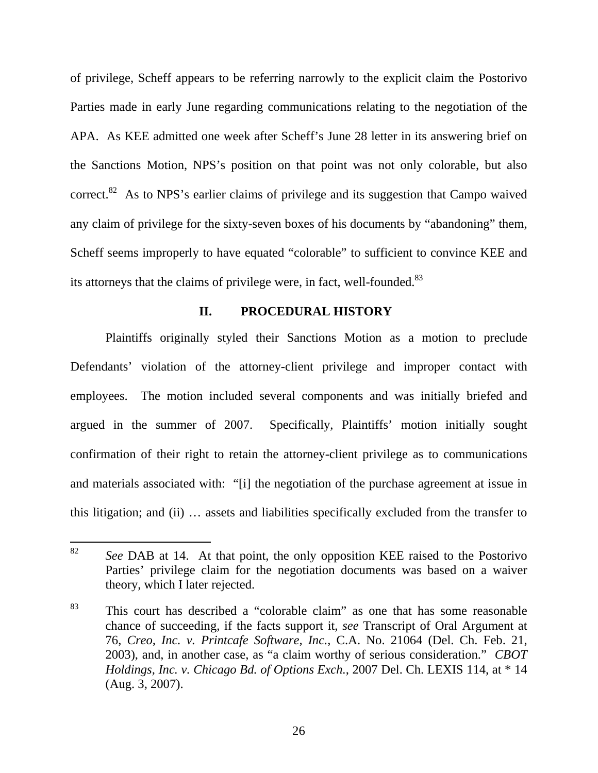of privilege, Scheff appears to be referring narrowly to the explicit claim the Postorivo Parties made in early June regarding communications relating to the negotiation of the APA. As KEE admitted one week after Scheff's June 28 letter in its answering brief on the Sanctions Motion, NPS's position on that point was not only colorable, but also correct.<sup>82</sup> As to NPS's earlier claims of privilege and its suggestion that Campo waived any claim of privilege for the sixty-seven boxes of his documents by "abandoning" them, Scheff seems improperly to have equated "colorable" to sufficient to convince KEE and its attorneys that the claims of privilege were, in fact, well-founded.<sup>83</sup>

#### **II. PROCEDURAL HISTORY**

Plaintiffs originally styled their Sanctions Motion as a motion to preclude Defendants' violation of the attorney-client privilege and improper contact with employees. The motion included several components and was initially briefed and argued in the summer of 2007. Specifically, Plaintiffs' motion initially sought confirmation of their right to retain the attorney-client privilege as to communications and materials associated with: "[i] the negotiation of the purchase agreement at issue in this litigation; and (ii) … assets and liabilities specifically excluded from the transfer to

 <sup>82</sup> *See* DAB at 14. At that point, the only opposition KEE raised to the Postorivo Parties' privilege claim for the negotiation documents was based on a waiver theory, which I later rejected.

<sup>83</sup> This court has described a "colorable claim" as one that has some reasonable chance of succeeding, if the facts support it, *see* Transcript of Oral Argument at 76, *Creo, Inc. v. Printcafe Software, Inc.*, C.A. No. 21064 (Del. Ch. Feb. 21, 2003), and, in another case, as "a claim worthy of serious consideration." *CBOT Holdings, Inc. v. Chicago Bd. of Options Exch.*, 2007 Del. Ch. LEXIS 114, at \* 14 (Aug. 3, 2007).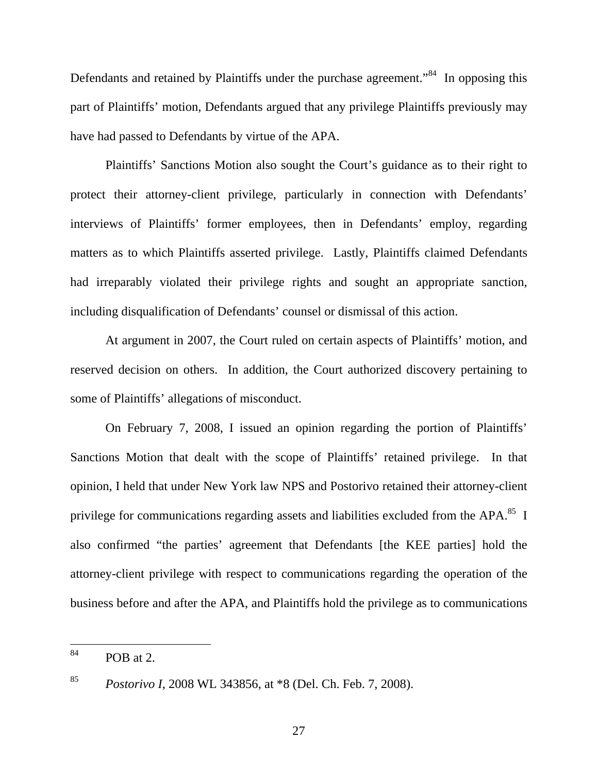Defendants and retained by Plaintiffs under the purchase agreement."<sup>84</sup> In opposing this part of Plaintiffs' motion, Defendants argued that any privilege Plaintiffs previously may have had passed to Defendants by virtue of the APA.

Plaintiffs' Sanctions Motion also sought the Court's guidance as to their right to protect their attorney-client privilege, particularly in connection with Defendants' interviews of Plaintiffs' former employees, then in Defendants' employ, regarding matters as to which Plaintiffs asserted privilege. Lastly, Plaintiffs claimed Defendants had irreparably violated their privilege rights and sought an appropriate sanction, including disqualification of Defendants' counsel or dismissal of this action.

At argument in 2007, the Court ruled on certain aspects of Plaintiffs' motion, and reserved decision on others. In addition, the Court authorized discovery pertaining to some of Plaintiffs' allegations of misconduct.

On February 7, 2008, I issued an opinion regarding the portion of Plaintiffs' Sanctions Motion that dealt with the scope of Plaintiffs' retained privilege. In that opinion, I held that under New York law NPS and Postorivo retained their attorney-client privilege for communications regarding assets and liabilities excluded from the APA. $^{85}$  I also confirmed "the parties' agreement that Defendants [the KEE parties] hold the attorney-client privilege with respect to communications regarding the operation of the business before and after the APA, and Plaintiffs hold the privilege as to communications

 $^{84}$  POB at 2.

<sup>85</sup> *Postorivo I*, 2008 WL 343856, at \*8 (Del. Ch. Feb. 7, 2008).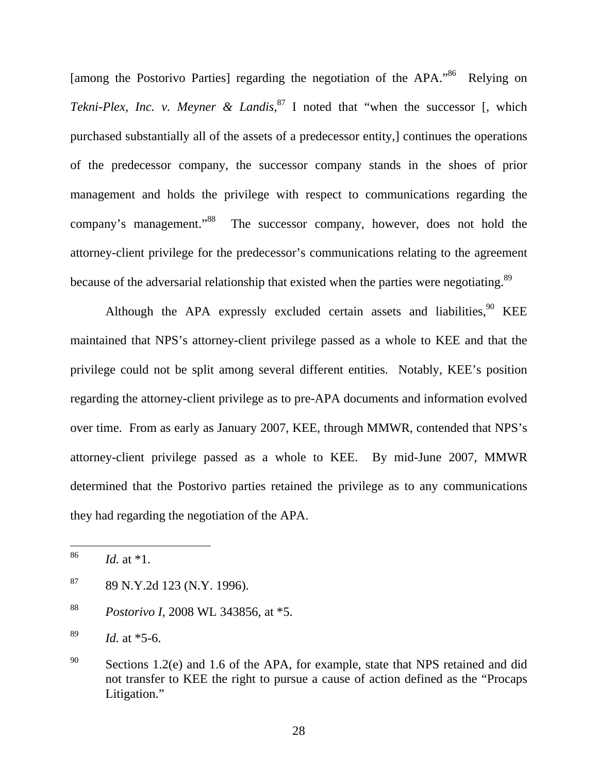[among the Postorivo Parties] regarding the negotiation of the APA.<sup>86</sup> Relying on *Tekni-Plex, Inc. v. Meyner & Landis*, 87 I noted that "when the successor [, which purchased substantially all of the assets of a predecessor entity,] continues the operations of the predecessor company, the successor company stands in the shoes of prior management and holds the privilege with respect to communications regarding the company's management."<sup>88</sup> The successor company, however, does not hold the attorney-client privilege for the predecessor's communications relating to the agreement because of the adversarial relationship that existed when the parties were negotiating.<sup>89</sup>

Although the APA expressly excluded certain assets and liabilities.<sup>90</sup> KEE maintained that NPS's attorney-client privilege passed as a whole to KEE and that the privilege could not be split among several different entities. Notably, KEE's position regarding the attorney-client privilege as to pre-APA documents and information evolved over time. From as early as January 2007, KEE, through MMWR, contended that NPS's attorney-client privilege passed as a whole to KEE. By mid-June 2007, MMWR determined that the Postorivo parties retained the privilege as to any communications they had regarding the negotiation of the APA.

 $87$  89 N.Y.2d 123 (N.Y. 1996).

<sup>88</sup> *Postorivo I*, 2008 WL 343856, at \*5.

 <sup>86</sup> *Id.* at \*1.

<sup>89</sup> *Id.* at \*5-6.

<sup>&</sup>lt;sup>90</sup> Sections 1.2(e) and 1.6 of the APA, for example, state that NPS retained and did not transfer to KEE the right to pursue a cause of action defined as the "Procaps Litigation."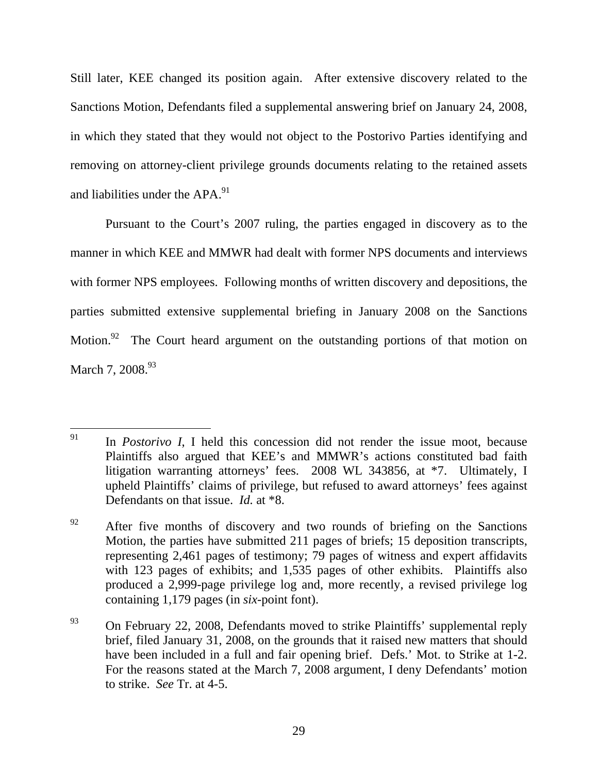Still later, KEE changed its position again. After extensive discovery related to the Sanctions Motion, Defendants filed a supplemental answering brief on January 24, 2008, in which they stated that they would not object to the Postorivo Parties identifying and removing on attorney-client privilege grounds documents relating to the retained assets and liabilities under the  $APA.<sup>91</sup>$ 

Pursuant to the Court's 2007 ruling, the parties engaged in discovery as to the manner in which KEE and MMWR had dealt with former NPS documents and interviews with former NPS employees. Following months of written discovery and depositions, the parties submitted extensive supplemental briefing in January 2008 on the Sanctions Motion.<sup>92</sup> The Court heard argument on the outstanding portions of that motion on March 7, 2008.<sup>93</sup>

<sup>&</sup>lt;sup>91</sup> In *Postorivo I*, I held this concession did not render the issue moot, because Plaintiffs also argued that KEE's and MMWR's actions constituted bad faith litigation warranting attorneys' fees. 2008 WL 343856, at \*7. Ultimately, I upheld Plaintiffs' claims of privilege, but refused to award attorneys' fees against Defendants on that issue. *Id.* at \*8.

 $92$  After five months of discovery and two rounds of briefing on the Sanctions Motion, the parties have submitted 211 pages of briefs; 15 deposition transcripts, representing 2,461 pages of testimony; 79 pages of witness and expert affidavits with 123 pages of exhibits; and 1,535 pages of other exhibits. Plaintiffs also produced a 2,999-page privilege log and, more recently, a revised privilege log containing 1,179 pages (in *six-*point font).

 $^{93}$  On February 22, 2008, Defendants moved to strike Plaintiffs' supplemental reply brief, filed January 31, 2008, on the grounds that it raised new matters that should have been included in a full and fair opening brief. Defs.' Mot. to Strike at 1-2. For the reasons stated at the March 7, 2008 argument, I deny Defendants' motion to strike. *See* Tr. at 4-5.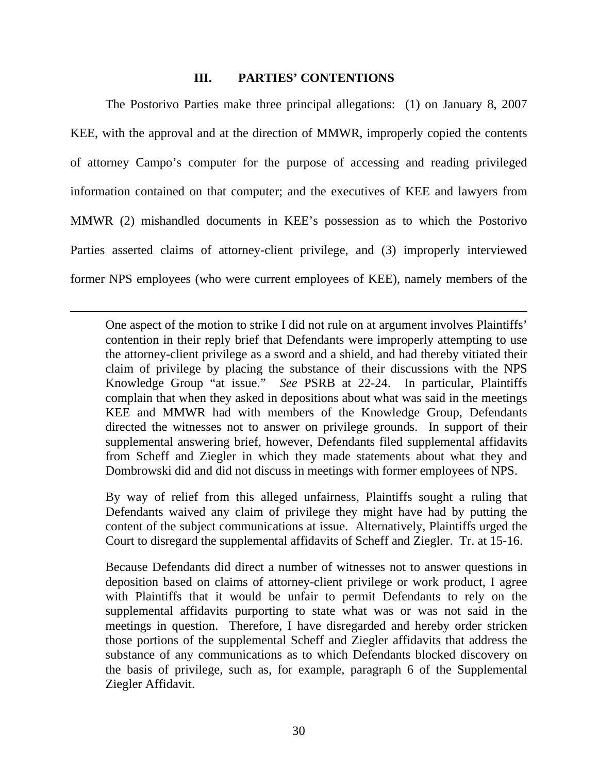# **III. PARTIES' CONTENTIONS**

The Postorivo Parties make three principal allegations: (1) on January 8, 2007 KEE, with the approval and at the direction of MMWR, improperly copied the contents of attorney Campo's computer for the purpose of accessing and reading privileged information contained on that computer; and the executives of KEE and lawyers from MMWR (2) mishandled documents in KEE's possession as to which the Postorivo Parties asserted claims of attorney-client privilege, and (3) improperly interviewed former NPS employees (who were current employees of KEE), namely members of the

 $\overline{a}$ 

One aspect of the motion to strike I did not rule on at argument involves Plaintiffs' contention in their reply brief that Defendants were improperly attempting to use the attorney-client privilege as a sword and a shield, and had thereby vitiated their claim of privilege by placing the substance of their discussions with the NPS Knowledge Group "at issue." *See* PSRB at 22-24. In particular, Plaintiffs complain that when they asked in depositions about what was said in the meetings KEE and MMWR had with members of the Knowledge Group, Defendants directed the witnesses not to answer on privilege grounds. In support of their supplemental answering brief, however, Defendants filed supplemental affidavits from Scheff and Ziegler in which they made statements about what they and Dombrowski did and did not discuss in meetings with former employees of NPS.

By way of relief from this alleged unfairness, Plaintiffs sought a ruling that Defendants waived any claim of privilege they might have had by putting the content of the subject communications at issue. Alternatively, Plaintiffs urged the Court to disregard the supplemental affidavits of Scheff and Ziegler. Tr. at 15-16.

Because Defendants did direct a number of witnesses not to answer questions in deposition based on claims of attorney-client privilege or work product, I agree with Plaintiffs that it would be unfair to permit Defendants to rely on the supplemental affidavits purporting to state what was or was not said in the meetings in question. Therefore, I have disregarded and hereby order stricken those portions of the supplemental Scheff and Ziegler affidavits that address the substance of any communications as to which Defendants blocked discovery on the basis of privilege, such as, for example, paragraph 6 of the Supplemental Ziegler Affidavit.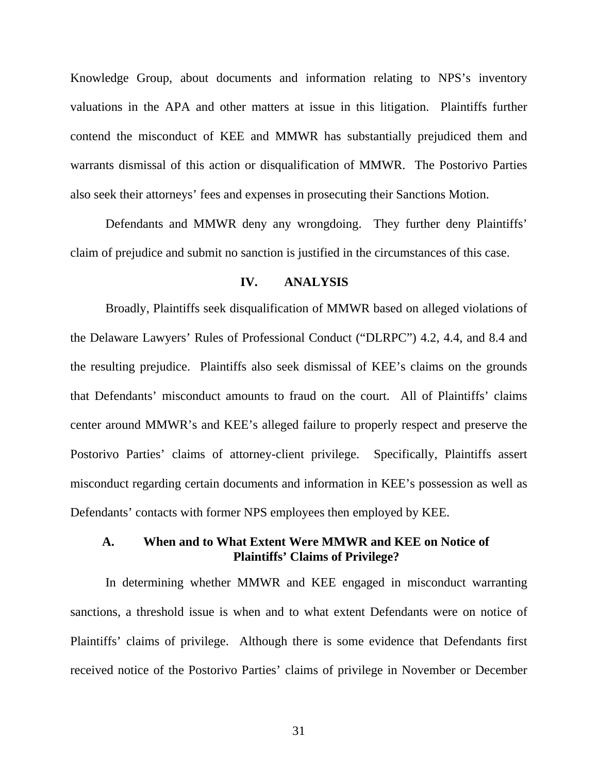Knowledge Group, about documents and information relating to NPS's inventory valuations in the APA and other matters at issue in this litigation. Plaintiffs further contend the misconduct of KEE and MMWR has substantially prejudiced them and warrants dismissal of this action or disqualification of MMWR. The Postorivo Parties also seek their attorneys' fees and expenses in prosecuting their Sanctions Motion.

Defendants and MMWR deny any wrongdoing. They further deny Plaintiffs' claim of prejudice and submit no sanction is justified in the circumstances of this case.

#### **IV. ANALYSIS**

Broadly, Plaintiffs seek disqualification of MMWR based on alleged violations of the Delaware Lawyers' Rules of Professional Conduct ("DLRPC") 4.2, 4.4, and 8.4 and the resulting prejudice. Plaintiffs also seek dismissal of KEE's claims on the grounds that Defendants' misconduct amounts to fraud on the court. All of Plaintiffs' claims center around MMWR's and KEE's alleged failure to properly respect and preserve the Postorivo Parties' claims of attorney-client privilege. Specifically, Plaintiffs assert misconduct regarding certain documents and information in KEE's possession as well as Defendants' contacts with former NPS employees then employed by KEE.

# **A. When and to What Extent Were MMWR and KEE on Notice of Plaintiffs' Claims of Privilege?**

In determining whether MMWR and KEE engaged in misconduct warranting sanctions, a threshold issue is when and to what extent Defendants were on notice of Plaintiffs' claims of privilege. Although there is some evidence that Defendants first received notice of the Postorivo Parties' claims of privilege in November or December

31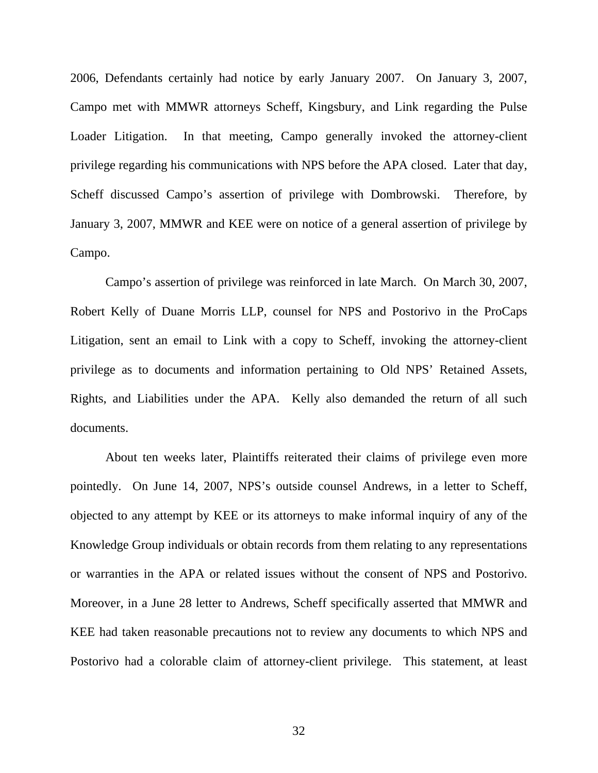2006, Defendants certainly had notice by early January 2007. On January 3, 2007, Campo met with MMWR attorneys Scheff, Kingsbury, and Link regarding the Pulse Loader Litigation. In that meeting, Campo generally invoked the attorney-client privilege regarding his communications with NPS before the APA closed. Later that day, Scheff discussed Campo's assertion of privilege with Dombrowski. Therefore, by January 3, 2007, MMWR and KEE were on notice of a general assertion of privilege by Campo.

Campo's assertion of privilege was reinforced in late March. On March 30, 2007, Robert Kelly of Duane Morris LLP, counsel for NPS and Postorivo in the ProCaps Litigation, sent an email to Link with a copy to Scheff, invoking the attorney-client privilege as to documents and information pertaining to Old NPS' Retained Assets, Rights, and Liabilities under the APA. Kelly also demanded the return of all such documents.

About ten weeks later, Plaintiffs reiterated their claims of privilege even more pointedly. On June 14, 2007, NPS's outside counsel Andrews, in a letter to Scheff, objected to any attempt by KEE or its attorneys to make informal inquiry of any of the Knowledge Group individuals or obtain records from them relating to any representations or warranties in the APA or related issues without the consent of NPS and Postorivo. Moreover, in a June 28 letter to Andrews, Scheff specifically asserted that MMWR and KEE had taken reasonable precautions not to review any documents to which NPS and Postorivo had a colorable claim of attorney-client privilege. This statement, at least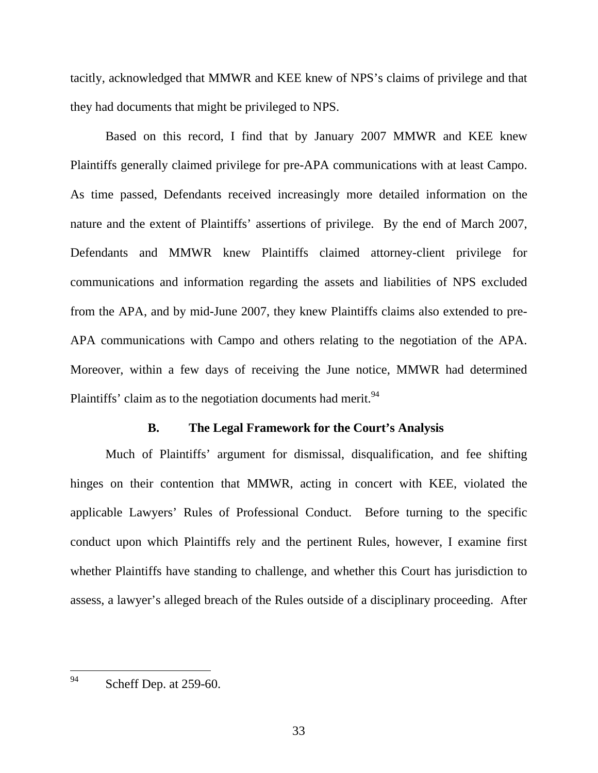tacitly, acknowledged that MMWR and KEE knew of NPS's claims of privilege and that they had documents that might be privileged to NPS.

Based on this record, I find that by January 2007 MMWR and KEE knew Plaintiffs generally claimed privilege for pre-APA communications with at least Campo. As time passed, Defendants received increasingly more detailed information on the nature and the extent of Plaintiffs' assertions of privilege. By the end of March 2007, Defendants and MMWR knew Plaintiffs claimed attorney-client privilege for communications and information regarding the assets and liabilities of NPS excluded from the APA, and by mid-June 2007, they knew Plaintiffs claims also extended to pre-APA communications with Campo and others relating to the negotiation of the APA. Moreover, within a few days of receiving the June notice, MMWR had determined Plaintiffs' claim as to the negotiation documents had merit.<sup>94</sup>

#### **B. The Legal Framework for the Court's Analysis**

Much of Plaintiffs' argument for dismissal, disqualification, and fee shifting hinges on their contention that MMWR, acting in concert with KEE, violated the applicable Lawyers' Rules of Professional Conduct. Before turning to the specific conduct upon which Plaintiffs rely and the pertinent Rules, however, I examine first whether Plaintiffs have standing to challenge, and whether this Court has jurisdiction to assess, a lawyer's alleged breach of the Rules outside of a disciplinary proceeding. After

 <sup>94</sup> Scheff Dep. at 259-60.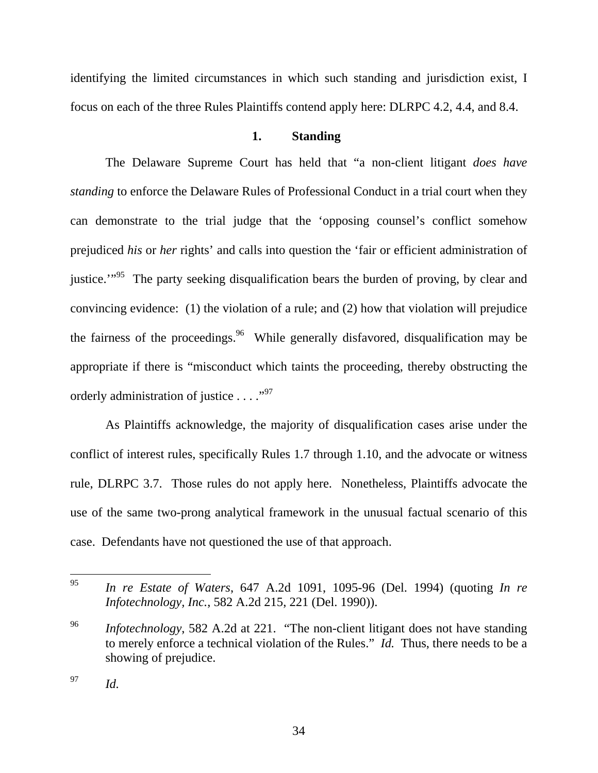identifying the limited circumstances in which such standing and jurisdiction exist, I focus on each of the three Rules Plaintiffs contend apply here: DLRPC 4.2, 4.4, and 8.4.

# **1. Standing**

The Delaware Supreme Court has held that "a non-client litigant *does have standing* to enforce the Delaware Rules of Professional Conduct in a trial court when they can demonstrate to the trial judge that the 'opposing counsel's conflict somehow prejudiced *his* or *her* rights' and calls into question the 'fair or efficient administration of justice."<sup>95</sup> The party seeking disqualification bears the burden of proving, by clear and convincing evidence: (1) the violation of a rule; and (2) how that violation will prejudice the fairness of the proceedings.<sup>96</sup> While generally disfavored, disqualification may be appropriate if there is "misconduct which taints the proceeding, thereby obstructing the orderly administration of justice  $\dots$ ."<sup>97</sup>

As Plaintiffs acknowledge, the majority of disqualification cases arise under the conflict of interest rules, specifically Rules 1.7 through 1.10, and the advocate or witness rule, DLRPC 3.7. Those rules do not apply here. Nonetheless, Plaintiffs advocate the use of the same two-prong analytical framework in the unusual factual scenario of this case. Defendants have not questioned the use of that approach.

 <sup>95</sup> *In re Estate of Waters*, 647 A.2d 1091, 1095-96 (Del. 1994) (quoting *In re Infotechnology, Inc.*, 582 A.2d 215, 221 (Del. 1990)).

<sup>96</sup> *Infotechnology*, 582 A.2d at 221. "The non-client litigant does not have standing to merely enforce a technical violation of the Rules." *Id.* Thus, there needs to be a showing of prejudice.

<sup>97</sup> *Id.*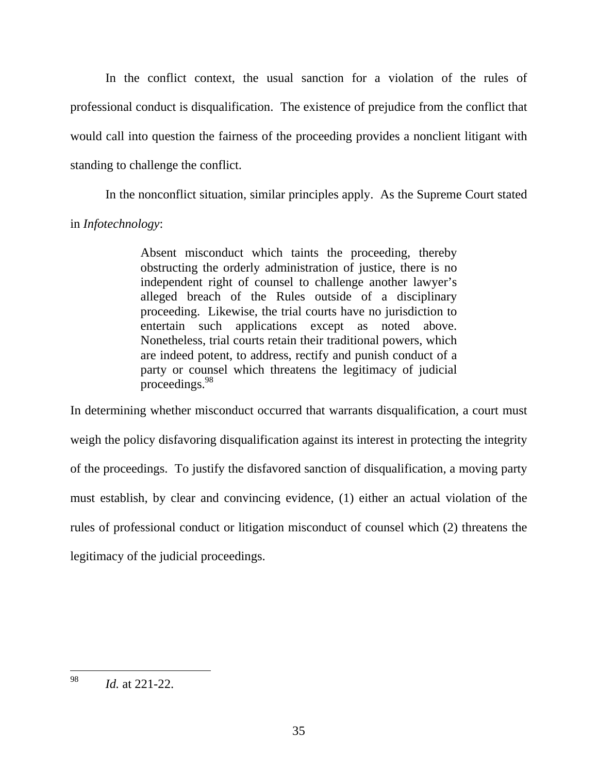In the conflict context, the usual sanction for a violation of the rules of professional conduct is disqualification. The existence of prejudice from the conflict that would call into question the fairness of the proceeding provides a nonclient litigant with standing to challenge the conflict.

In the nonconflict situation, similar principles apply. As the Supreme Court stated in *Infotechnology*:

> Absent misconduct which taints the proceeding, thereby obstructing the orderly administration of justice, there is no independent right of counsel to challenge another lawyer's alleged breach of the Rules outside of a disciplinary proceeding. Likewise, the trial courts have no jurisdiction to entertain such applications except as noted above. Nonetheless, trial courts retain their traditional powers, which are indeed potent, to address, rectify and punish conduct of a party or counsel which threatens the legitimacy of judicial proceedings.<sup>98</sup>

In determining whether misconduct occurred that warrants disqualification, a court must weigh the policy disfavoring disqualification against its interest in protecting the integrity of the proceedings. To justify the disfavored sanction of disqualification, a moving party must establish, by clear and convincing evidence, (1) either an actual violation of the rules of professional conduct or litigation misconduct of counsel which (2) threatens the legitimacy of the judicial proceedings.

 <sup>98</sup> *Id.* at 221-22.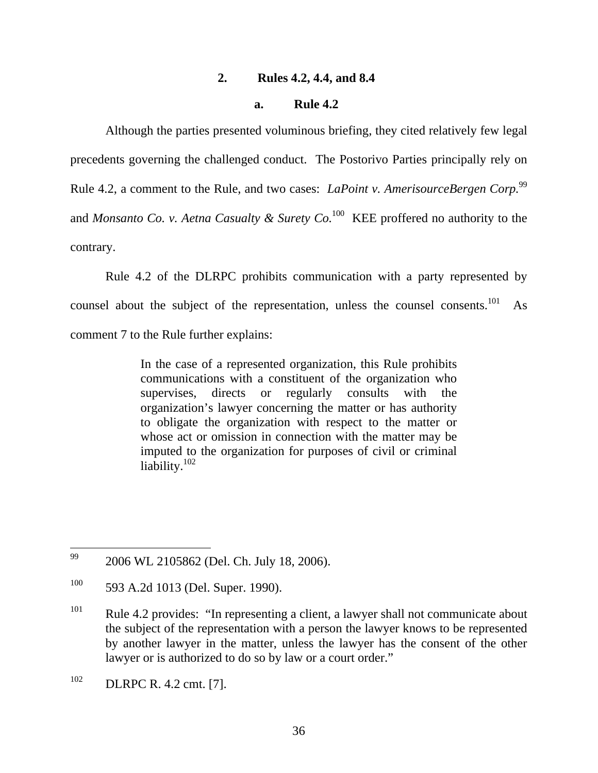#### **2. Rules 4.2, 4.4, and 8.4**

#### **a. Rule 4.2**

Although the parties presented voluminous briefing, they cited relatively few legal precedents governing the challenged conduct. The Postorivo Parties principally rely on Rule 4.2, a comment to the Rule, and two cases: *LaPoint v. AmerisourceBergen Corp.*<sup>99</sup> and *Monsanto Co. v. Aetna Casualty & Surety Co.*100 KEE proffered no authority to the contrary.

Rule 4.2 of the DLRPC prohibits communication with a party represented by counsel about the subject of the representation, unless the counsel consents.<sup>101</sup> As comment 7 to the Rule further explains:

> In the case of a represented organization, this Rule prohibits communications with a constituent of the organization who supervises, directs or regularly consults with the organization's lawyer concerning the matter or has authority to obligate the organization with respect to the matter or whose act or omission in connection with the matter may be imputed to the organization for purposes of civil or criminal liability.<sup>102</sup>

<sup>&</sup>lt;sup>99</sup> 2006 WL 2105862 (Del. Ch. July 18, 2006).

<sup>&</sup>lt;sup>100</sup> 593 A.2d 1013 (Del. Super. 1990).

 $101$  Rule 4.2 provides: "In representing a client, a lawyer shall not communicate about the subject of the representation with a person the lawyer knows to be represented by another lawyer in the matter, unless the lawyer has the consent of the other lawyer or is authorized to do so by law or a court order."

<sup>102</sup> DLRPC R. 4.2 cmt. [7].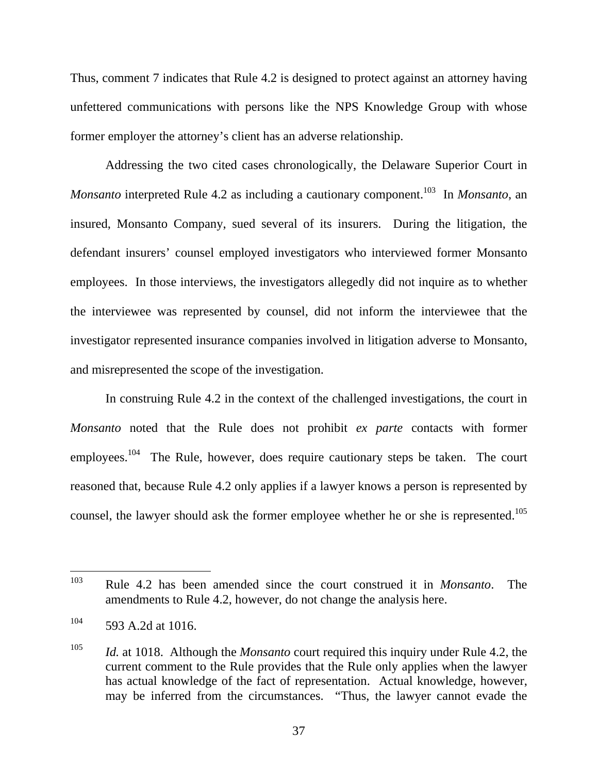Thus, comment 7 indicates that Rule 4.2 is designed to protect against an attorney having unfettered communications with persons like the NPS Knowledge Group with whose former employer the attorney's client has an adverse relationship.

Addressing the two cited cases chronologically, the Delaware Superior Court in *Monsanto* interpreted Rule 4.2 as including a cautionary component.<sup>103</sup> In *Monsanto*, an insured, Monsanto Company, sued several of its insurers. During the litigation, the defendant insurers' counsel employed investigators who interviewed former Monsanto employees. In those interviews, the investigators allegedly did not inquire as to whether the interviewee was represented by counsel, did not inform the interviewee that the investigator represented insurance companies involved in litigation adverse to Monsanto, and misrepresented the scope of the investigation.

In construing Rule 4.2 in the context of the challenged investigations, the court in *Monsanto* noted that the Rule does not prohibit *ex parte* contacts with former employees.<sup>104</sup> The Rule, however, does require cautionary steps be taken. The court reasoned that, because Rule 4.2 only applies if a lawyer knows a person is represented by counsel, the lawyer should ask the former employee whether he or she is represented.<sup>105</sup>

 <sup>103</sup> Rule 4.2 has been amended since the court construed it in *Monsanto*. The amendments to Rule 4.2, however, do not change the analysis here.

 $104$  593 A.2d at 1016.

<sup>105</sup> *Id.* at 1018. Although the *Monsanto* court required this inquiry under Rule 4.2, the current comment to the Rule provides that the Rule only applies when the lawyer has actual knowledge of the fact of representation. Actual knowledge, however, may be inferred from the circumstances. "Thus, the lawyer cannot evade the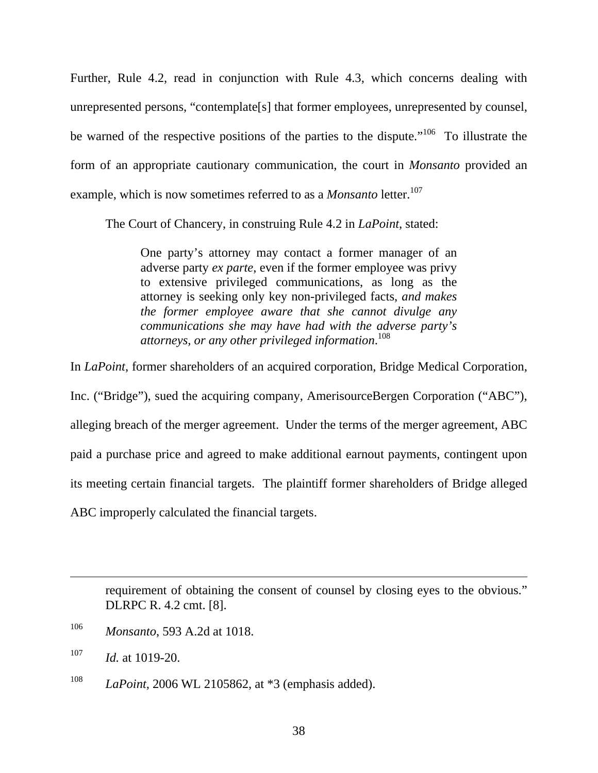Further, Rule 4.2, read in conjunction with Rule 4.3, which concerns dealing with unrepresented persons, "contemplate[s] that former employees, unrepresented by counsel, be warned of the respective positions of the parties to the dispute."<sup>106</sup> To illustrate the form of an appropriate cautionary communication, the court in *Monsanto* provided an example, which is now sometimes referred to as a *Monsanto* letter.<sup>107</sup>

The Court of Chancery, in construing Rule 4.2 in *LaPoint*, stated:

One party's attorney may contact a former manager of an adverse party *ex parte*, even if the former employee was privy to extensive privileged communications, as long as the attorney is seeking only key non-privileged facts, *and makes the former employee aware that she cannot divulge any communications she may have had with the adverse party's attorneys, or any other privileged information*. 108

In *LaPoint*, former shareholders of an acquired corporation, Bridge Medical Corporation, Inc. ("Bridge"), sued the acquiring company, AmerisourceBergen Corporation ("ABC"), alleging breach of the merger agreement. Under the terms of the merger agreement, ABC paid a purchase price and agreed to make additional earnout payments, contingent upon its meeting certain financial targets. The plaintiff former shareholders of Bridge alleged ABC improperly calculated the financial targets.

requirement of obtaining the consent of counsel by closing eyes to the obvious." DLRPC R. 4.2 cmt. [8].

 $\overline{a}$ 

<sup>108</sup> *LaPoint*, 2006 WL 2105862, at \*3 (emphasis added).

<sup>106</sup> *Monsanto*, 593 A.2d at 1018.

<sup>107</sup> *Id.* at 1019-20.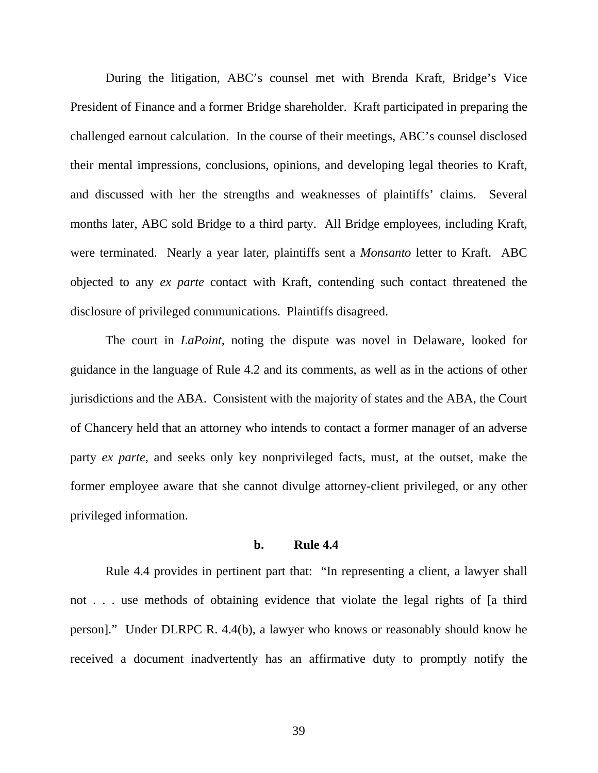During the litigation, ABC's counsel met with Brenda Kraft, Bridge's Vice President of Finance and a former Bridge shareholder. Kraft participated in preparing the challenged earnout calculation. In the course of their meetings, ABC's counsel disclosed their mental impressions, conclusions, opinions, and developing legal theories to Kraft, and discussed with her the strengths and weaknesses of plaintiffs' claims. Several months later, ABC sold Bridge to a third party. All Bridge employees, including Kraft, were terminated. Nearly a year later, plaintiffs sent a *Monsanto* letter to Kraft. ABC objected to any *ex parte* contact with Kraft, contending such contact threatened the disclosure of privileged communications. Plaintiffs disagreed.

The court in *LaPoint*, noting the dispute was novel in Delaware, looked for guidance in the language of Rule 4.2 and its comments, as well as in the actions of other jurisdictions and the ABA. Consistent with the majority of states and the ABA, the Court of Chancery held that an attorney who intends to contact a former manager of an adverse party *ex parte*, and seeks only key nonprivileged facts, must, at the outset, make the former employee aware that she cannot divulge attorney-client privileged, or any other privileged information.

### **b. Rule 4.4**

Rule 4.4 provides in pertinent part that: "In representing a client, a lawyer shall not . . . use methods of obtaining evidence that violate the legal rights of [a third person]." Under DLRPC R. 4.4(b), a lawyer who knows or reasonably should know he received a document inadvertently has an affirmative duty to promptly notify the

39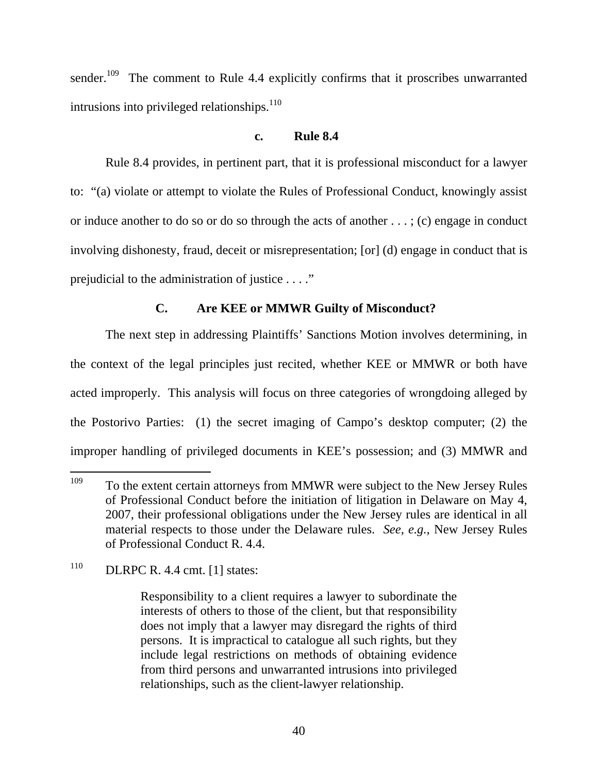sender.<sup>109</sup> The comment to Rule 4.4 explicitly confirms that it proscribes unwarranted intrusions into privileged relationships.<sup>110</sup>

# **c. Rule 8.4**

Rule 8.4 provides, in pertinent part, that it is professional misconduct for a lawyer to: "(a) violate or attempt to violate the Rules of Professional Conduct, knowingly assist or induce another to do so or do so through the acts of another . . . ; (c) engage in conduct involving dishonesty, fraud, deceit or misrepresentation; [or] (d) engage in conduct that is prejudicial to the administration of justice . . . ."

# **C. Are KEE or MMWR Guilty of Misconduct?**

The next step in addressing Plaintiffs' Sanctions Motion involves determining, in the context of the legal principles just recited, whether KEE or MMWR or both have acted improperly. This analysis will focus on three categories of wrongdoing alleged by the Postorivo Parties: (1) the secret imaging of Campo's desktop computer; (2) the improper handling of privileged documents in KEE's possession; and (3) MMWR and

<sup>&</sup>lt;sup>109</sup> To the extent certain attorneys from MMWR were subject to the New Jersey Rules of Professional Conduct before the initiation of litigation in Delaware on May 4, 2007, their professional obligations under the New Jersey rules are identical in all material respects to those under the Delaware rules. *See, e.g.,* New Jersey Rules of Professional Conduct R. 4.4.

 $110$  DLRPC R. 4.4 cmt. [1] states:

Responsibility to a client requires a lawyer to subordinate the interests of others to those of the client, but that responsibility does not imply that a lawyer may disregard the rights of third persons. It is impractical to catalogue all such rights, but they include legal restrictions on methods of obtaining evidence from third persons and unwarranted intrusions into privileged relationships, such as the client-lawyer relationship.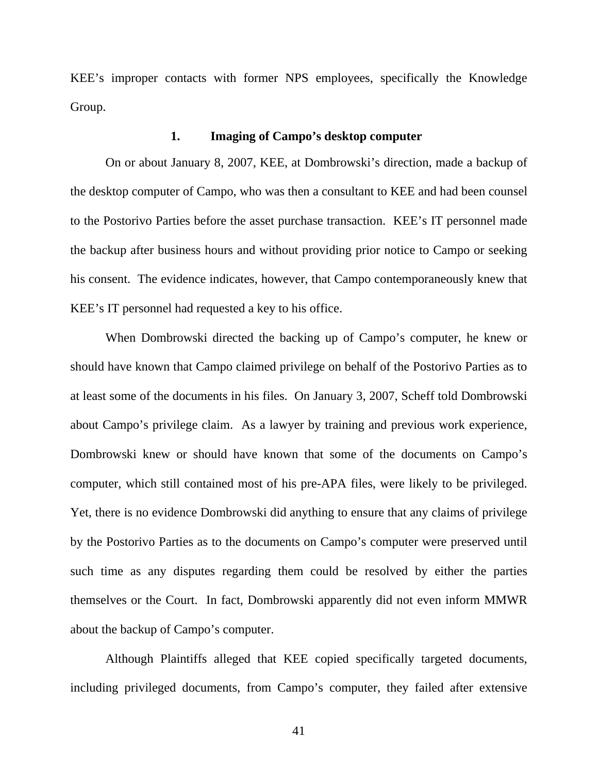KEE's improper contacts with former NPS employees, specifically the Knowledge Group.

### **1. Imaging of Campo's desktop computer**

On or about January 8, 2007, KEE, at Dombrowski's direction, made a backup of the desktop computer of Campo, who was then a consultant to KEE and had been counsel to the Postorivo Parties before the asset purchase transaction. KEE's IT personnel made the backup after business hours and without providing prior notice to Campo or seeking his consent. The evidence indicates, however, that Campo contemporaneously knew that KEE's IT personnel had requested a key to his office.

When Dombrowski directed the backing up of Campo's computer, he knew or should have known that Campo claimed privilege on behalf of the Postorivo Parties as to at least some of the documents in his files. On January 3, 2007, Scheff told Dombrowski about Campo's privilege claim. As a lawyer by training and previous work experience, Dombrowski knew or should have known that some of the documents on Campo's computer, which still contained most of his pre-APA files, were likely to be privileged. Yet, there is no evidence Dombrowski did anything to ensure that any claims of privilege by the Postorivo Parties as to the documents on Campo's computer were preserved until such time as any disputes regarding them could be resolved by either the parties themselves or the Court. In fact, Dombrowski apparently did not even inform MMWR about the backup of Campo's computer.

Although Plaintiffs alleged that KEE copied specifically targeted documents, including privileged documents, from Campo's computer, they failed after extensive

41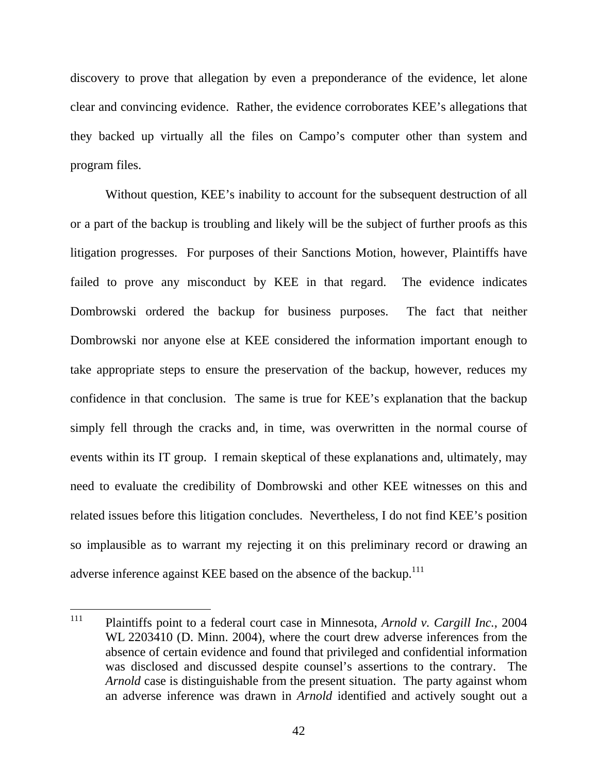discovery to prove that allegation by even a preponderance of the evidence, let alone clear and convincing evidence. Rather, the evidence corroborates KEE's allegations that they backed up virtually all the files on Campo's computer other than system and program files.

Without question, KEE's inability to account for the subsequent destruction of all or a part of the backup is troubling and likely will be the subject of further proofs as this litigation progresses. For purposes of their Sanctions Motion, however, Plaintiffs have failed to prove any misconduct by KEE in that regard. The evidence indicates Dombrowski ordered the backup for business purposes. The fact that neither Dombrowski nor anyone else at KEE considered the information important enough to take appropriate steps to ensure the preservation of the backup, however, reduces my confidence in that conclusion. The same is true for KEE's explanation that the backup simply fell through the cracks and, in time, was overwritten in the normal course of events within its IT group. I remain skeptical of these explanations and, ultimately, may need to evaluate the credibility of Dombrowski and other KEE witnesses on this and related issues before this litigation concludes. Nevertheless, I do not find KEE's position so implausible as to warrant my rejecting it on this preliminary record or drawing an adverse inference against KEE based on the absence of the backup.<sup>111</sup>

 <sup>111</sup> Plaintiffs point to a federal court case in Minnesota, *Arnold v. Cargill Inc.*, 2004 WL 2203410 (D. Minn. 2004), where the court drew adverse inferences from the absence of certain evidence and found that privileged and confidential information was disclosed and discussed despite counsel's assertions to the contrary. The *Arnold* case is distinguishable from the present situation. The party against whom an adverse inference was drawn in *Arnold* identified and actively sought out a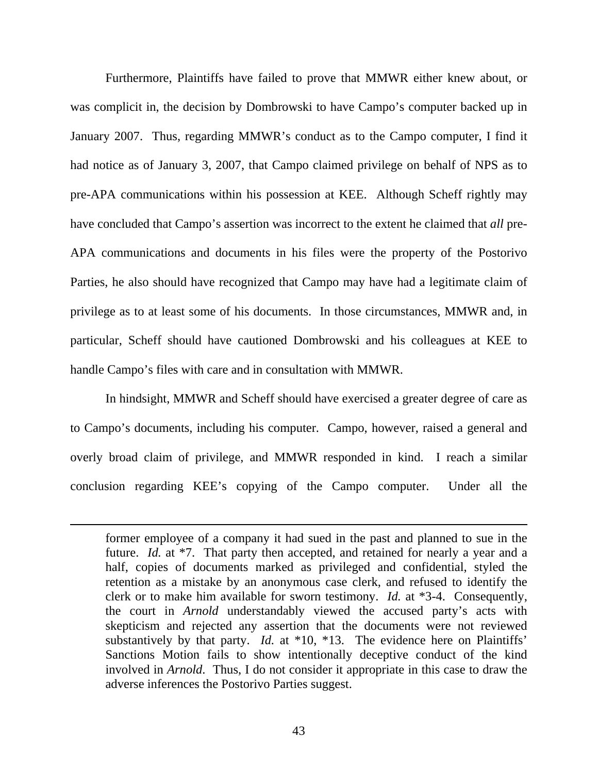Furthermore, Plaintiffs have failed to prove that MMWR either knew about, or was complicit in, the decision by Dombrowski to have Campo's computer backed up in January 2007. Thus, regarding MMWR's conduct as to the Campo computer, I find it had notice as of January 3, 2007, that Campo claimed privilege on behalf of NPS as to pre-APA communications within his possession at KEE. Although Scheff rightly may have concluded that Campo's assertion was incorrect to the extent he claimed that *all* pre-APA communications and documents in his files were the property of the Postorivo Parties, he also should have recognized that Campo may have had a legitimate claim of privilege as to at least some of his documents. In those circumstances, MMWR and, in particular, Scheff should have cautioned Dombrowski and his colleagues at KEE to handle Campo's files with care and in consultation with MMWR.

In hindsight, MMWR and Scheff should have exercised a greater degree of care as to Campo's documents, including his computer. Campo, however, raised a general and overly broad claim of privilege, and MMWR responded in kind. I reach a similar conclusion regarding KEE's copying of the Campo computer. Under all the

 $\overline{a}$ 

former employee of a company it had sued in the past and planned to sue in the future. *Id.* at \*7. That party then accepted, and retained for nearly a year and a half, copies of documents marked as privileged and confidential, styled the retention as a mistake by an anonymous case clerk, and refused to identify the clerk or to make him available for sworn testimony. *Id.* at \*3-4. Consequently, the court in *Arnold* understandably viewed the accused party's acts with skepticism and rejected any assertion that the documents were not reviewed substantively by that party. *Id.* at \*10, \*13. The evidence here on Plaintiffs' Sanctions Motion fails to show intentionally deceptive conduct of the kind involved in *Arnold*. Thus, I do not consider it appropriate in this case to draw the adverse inferences the Postorivo Parties suggest.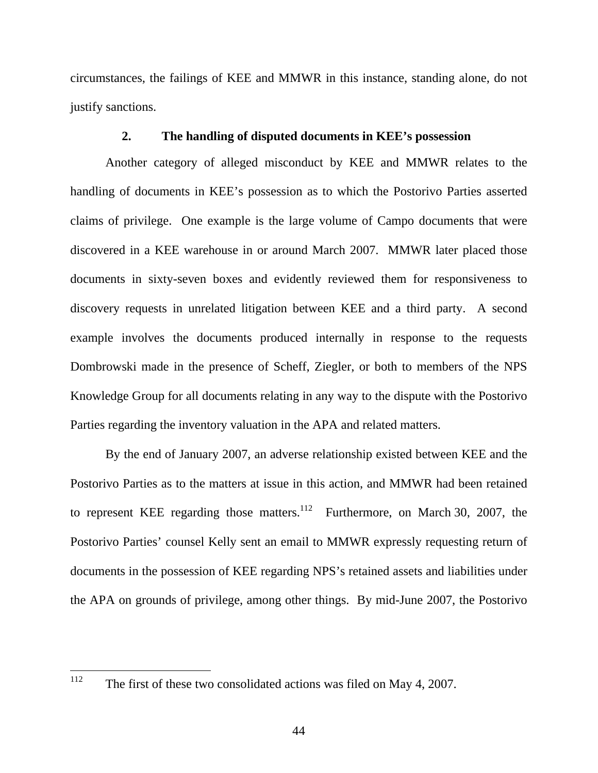circumstances, the failings of KEE and MMWR in this instance, standing alone, do not justify sanctions.

# **2. The handling of disputed documents in KEE's possession**

Another category of alleged misconduct by KEE and MMWR relates to the handling of documents in KEE's possession as to which the Postorivo Parties asserted claims of privilege. One example is the large volume of Campo documents that were discovered in a KEE warehouse in or around March 2007. MMWR later placed those documents in sixty-seven boxes and evidently reviewed them for responsiveness to discovery requests in unrelated litigation between KEE and a third party. A second example involves the documents produced internally in response to the requests Dombrowski made in the presence of Scheff, Ziegler, or both to members of the NPS Knowledge Group for all documents relating in any way to the dispute with the Postorivo Parties regarding the inventory valuation in the APA and related matters.

By the end of January 2007, an adverse relationship existed between KEE and the Postorivo Parties as to the matters at issue in this action, and MMWR had been retained to represent KEE regarding those matters.<sup>112</sup> Furthermore, on March 30, 2007, the Postorivo Parties' counsel Kelly sent an email to MMWR expressly requesting return of documents in the possession of KEE regarding NPS's retained assets and liabilities under the APA on grounds of privilege, among other things. By mid-June 2007, the Postorivo

<sup>&</sup>lt;sup>112</sup> The first of these two consolidated actions was filed on May 4, 2007.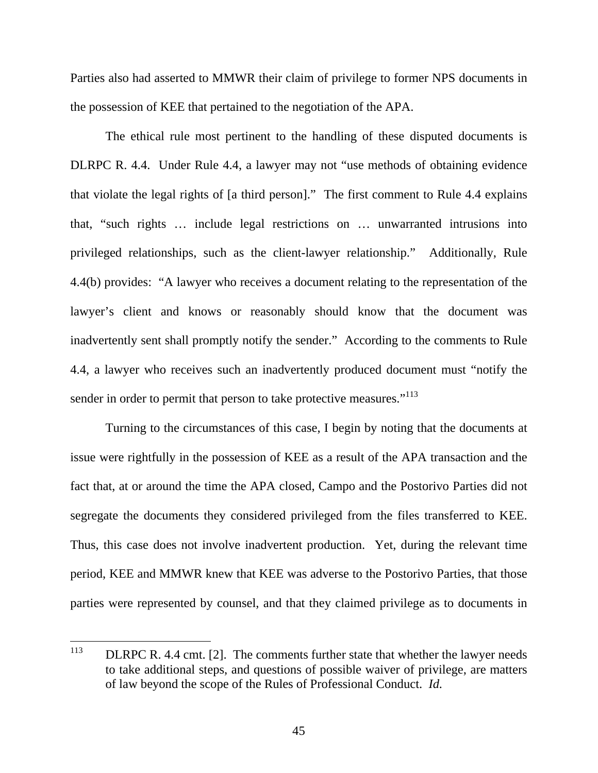Parties also had asserted to MMWR their claim of privilege to former NPS documents in the possession of KEE that pertained to the negotiation of the APA.

The ethical rule most pertinent to the handling of these disputed documents is DLRPC R. 4.4. Under Rule 4.4, a lawyer may not "use methods of obtaining evidence that violate the legal rights of [a third person]." The first comment to Rule 4.4 explains that, "such rights … include legal restrictions on … unwarranted intrusions into privileged relationships, such as the client-lawyer relationship." Additionally, Rule 4.4(b) provides: "A lawyer who receives a document relating to the representation of the lawyer's client and knows or reasonably should know that the document was inadvertently sent shall promptly notify the sender." According to the comments to Rule 4.4, a lawyer who receives such an inadvertently produced document must "notify the sender in order to permit that person to take protective measures."<sup>113</sup>

Turning to the circumstances of this case, I begin by noting that the documents at issue were rightfully in the possession of KEE as a result of the APA transaction and the fact that, at or around the time the APA closed, Campo and the Postorivo Parties did not segregate the documents they considered privileged from the files transferred to KEE. Thus, this case does not involve inadvertent production. Yet, during the relevant time period, KEE and MMWR knew that KEE was adverse to the Postorivo Parties, that those parties were represented by counsel, and that they claimed privilege as to documents in

<sup>&</sup>lt;sup>113</sup> DLRPC R. 4.4 cmt. [2]. The comments further state that whether the lawyer needs to take additional steps, and questions of possible waiver of privilege, are matters of law beyond the scope of the Rules of Professional Conduct. *Id.*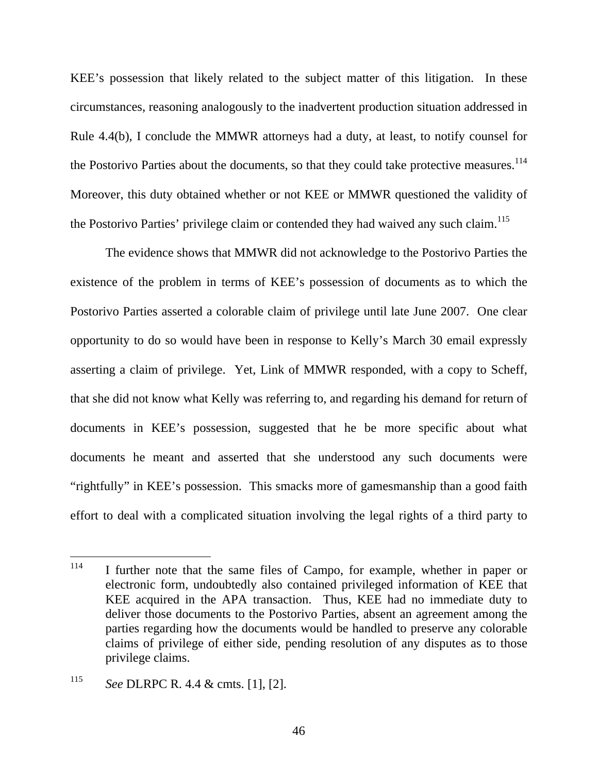KEE's possession that likely related to the subject matter of this litigation. In these circumstances, reasoning analogously to the inadvertent production situation addressed in Rule 4.4(b), I conclude the MMWR attorneys had a duty, at least, to notify counsel for the Postorivo Parties about the documents, so that they could take protective measures.<sup>114</sup> Moreover, this duty obtained whether or not KEE or MMWR questioned the validity of the Postorivo Parties' privilege claim or contended they had waived any such claim.<sup>115</sup>

The evidence shows that MMWR did not acknowledge to the Postorivo Parties the existence of the problem in terms of KEE's possession of documents as to which the Postorivo Parties asserted a colorable claim of privilege until late June 2007. One clear opportunity to do so would have been in response to Kelly's March 30 email expressly asserting a claim of privilege. Yet, Link of MMWR responded, with a copy to Scheff, that she did not know what Kelly was referring to, and regarding his demand for return of documents in KEE's possession, suggested that he be more specific about what documents he meant and asserted that she understood any such documents were "rightfully" in KEE's possession. This smacks more of gamesmanship than a good faith effort to deal with a complicated situation involving the legal rights of a third party to

<sup>&</sup>lt;sup>114</sup> I further note that the same files of Campo, for example, whether in paper or electronic form, undoubtedly also contained privileged information of KEE that KEE acquired in the APA transaction. Thus, KEE had no immediate duty to deliver those documents to the Postorivo Parties, absent an agreement among the parties regarding how the documents would be handled to preserve any colorable claims of privilege of either side, pending resolution of any disputes as to those privilege claims.

<sup>115</sup> *See* DLRPC R. 4.4 & cmts. [1], [2].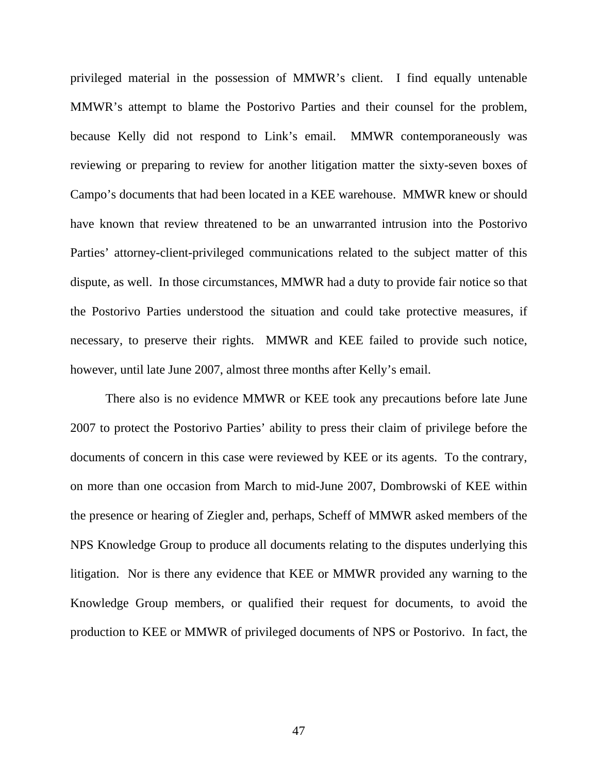privileged material in the possession of MMWR's client. I find equally untenable MMWR's attempt to blame the Postorivo Parties and their counsel for the problem, because Kelly did not respond to Link's email. MMWR contemporaneously was reviewing or preparing to review for another litigation matter the sixty-seven boxes of Campo's documents that had been located in a KEE warehouse. MMWR knew or should have known that review threatened to be an unwarranted intrusion into the Postorivo Parties' attorney-client-privileged communications related to the subject matter of this dispute, as well. In those circumstances, MMWR had a duty to provide fair notice so that the Postorivo Parties understood the situation and could take protective measures, if necessary, to preserve their rights. MMWR and KEE failed to provide such notice, however, until late June 2007, almost three months after Kelly's email.

There also is no evidence MMWR or KEE took any precautions before late June 2007 to protect the Postorivo Parties' ability to press their claim of privilege before the documents of concern in this case were reviewed by KEE or its agents. To the contrary, on more than one occasion from March to mid-June 2007, Dombrowski of KEE within the presence or hearing of Ziegler and, perhaps, Scheff of MMWR asked members of the NPS Knowledge Group to produce all documents relating to the disputes underlying this litigation. Nor is there any evidence that KEE or MMWR provided any warning to the Knowledge Group members, or qualified their request for documents, to avoid the production to KEE or MMWR of privileged documents of NPS or Postorivo. In fact, the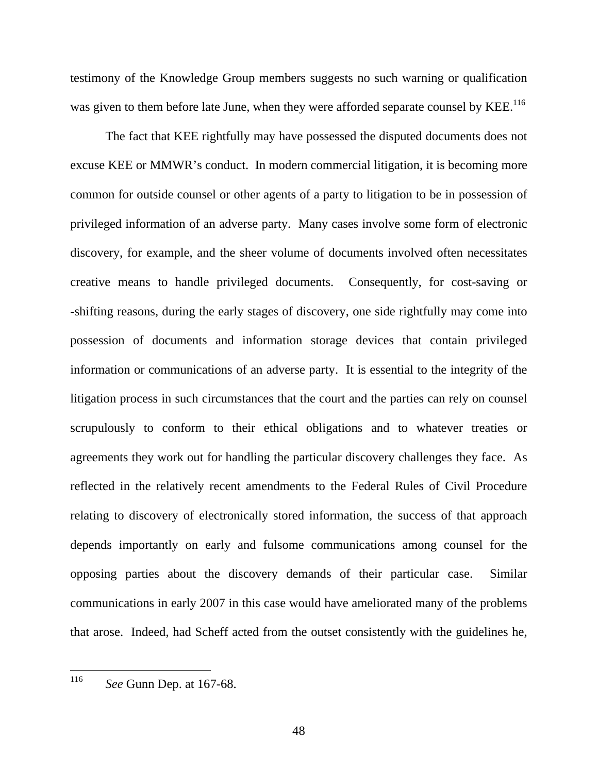testimony of the Knowledge Group members suggests no such warning or qualification was given to them before late June, when they were afforded separate counsel by KEE.<sup>116</sup>

The fact that KEE rightfully may have possessed the disputed documents does not excuse KEE or MMWR's conduct. In modern commercial litigation, it is becoming more common for outside counsel or other agents of a party to litigation to be in possession of privileged information of an adverse party. Many cases involve some form of electronic discovery, for example, and the sheer volume of documents involved often necessitates creative means to handle privileged documents. Consequently, for cost-saving or -shifting reasons, during the early stages of discovery, one side rightfully may come into possession of documents and information storage devices that contain privileged information or communications of an adverse party. It is essential to the integrity of the litigation process in such circumstances that the court and the parties can rely on counsel scrupulously to conform to their ethical obligations and to whatever treaties or agreements they work out for handling the particular discovery challenges they face. As reflected in the relatively recent amendments to the Federal Rules of Civil Procedure relating to discovery of electronically stored information, the success of that approach depends importantly on early and fulsome communications among counsel for the opposing parties about the discovery demands of their particular case. Similar communications in early 2007 in this case would have ameliorated many of the problems that arose. Indeed, had Scheff acted from the outset consistently with the guidelines he,

 <sup>116</sup> *See* Gunn Dep. at 167-68.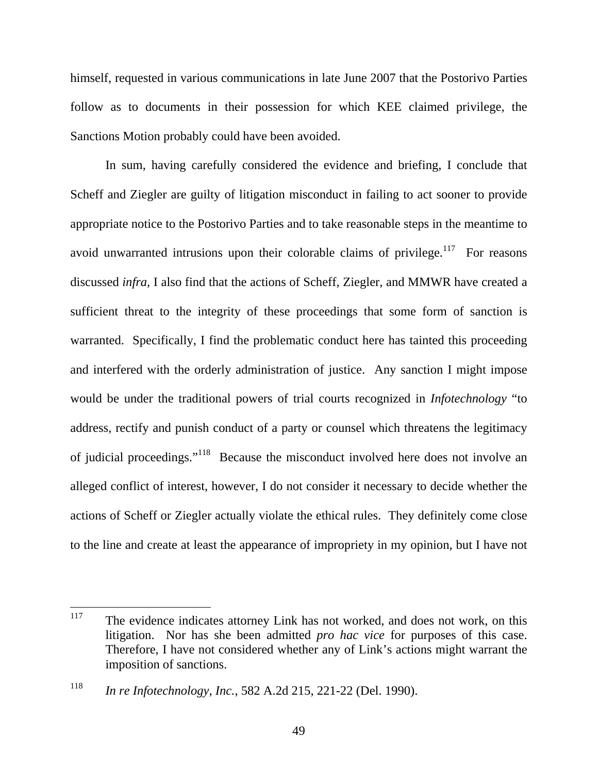himself, requested in various communications in late June 2007 that the Postorivo Parties follow as to documents in their possession for which KEE claimed privilege, the Sanctions Motion probably could have been avoided.

In sum, having carefully considered the evidence and briefing, I conclude that Scheff and Ziegler are guilty of litigation misconduct in failing to act sooner to provide appropriate notice to the Postorivo Parties and to take reasonable steps in the meantime to avoid unwarranted intrusions upon their colorable claims of privilege.<sup>117</sup> For reasons discussed *infra*, I also find that the actions of Scheff, Ziegler, and MMWR have created a sufficient threat to the integrity of these proceedings that some form of sanction is warranted. Specifically, I find the problematic conduct here has tainted this proceeding and interfered with the orderly administration of justice. Any sanction I might impose would be under the traditional powers of trial courts recognized in *Infotechnology* "to address, rectify and punish conduct of a party or counsel which threatens the legitimacy of judicial proceedings."118 Because the misconduct involved here does not involve an alleged conflict of interest, however, I do not consider it necessary to decide whether the actions of Scheff or Ziegler actually violate the ethical rules. They definitely come close to the line and create at least the appearance of impropriety in my opinion, but I have not

 $117$  The evidence indicates attorney Link has not worked, and does not work, on this litigation. Nor has she been admitted *pro hac vice* for purposes of this case. Therefore, I have not considered whether any of Link's actions might warrant the imposition of sanctions.

<sup>118</sup> *In re Infotechnology, Inc.*, 582 A.2d 215, 221-22 (Del. 1990).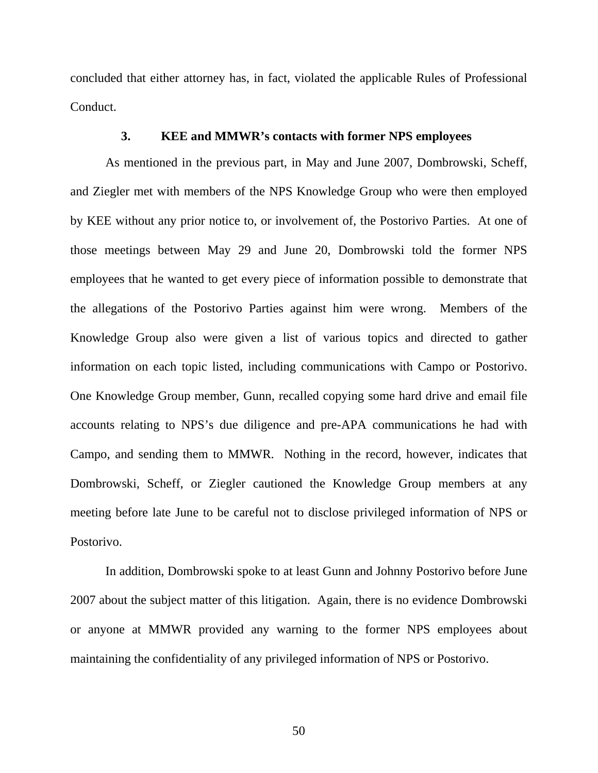concluded that either attorney has, in fact, violated the applicable Rules of Professional Conduct.

### **3. KEE and MMWR's contacts with former NPS employees**

As mentioned in the previous part, in May and June 2007, Dombrowski, Scheff, and Ziegler met with members of the NPS Knowledge Group who were then employed by KEE without any prior notice to, or involvement of, the Postorivo Parties. At one of those meetings between May 29 and June 20, Dombrowski told the former NPS employees that he wanted to get every piece of information possible to demonstrate that the allegations of the Postorivo Parties against him were wrong. Members of the Knowledge Group also were given a list of various topics and directed to gather information on each topic listed, including communications with Campo or Postorivo. One Knowledge Group member, Gunn, recalled copying some hard drive and email file accounts relating to NPS's due diligence and pre-APA communications he had with Campo, and sending them to MMWR. Nothing in the record, however, indicates that Dombrowski, Scheff, or Ziegler cautioned the Knowledge Group members at any meeting before late June to be careful not to disclose privileged information of NPS or Postorivo.

In addition, Dombrowski spoke to at least Gunn and Johnny Postorivo before June 2007 about the subject matter of this litigation. Again, there is no evidence Dombrowski or anyone at MMWR provided any warning to the former NPS employees about maintaining the confidentiality of any privileged information of NPS or Postorivo.

50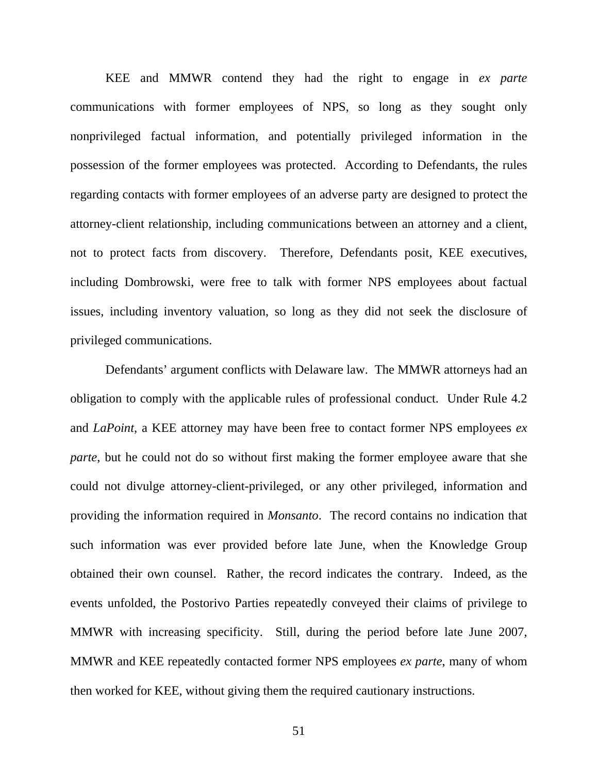KEE and MMWR contend they had the right to engage in *ex parte* communications with former employees of NPS, so long as they sought only nonprivileged factual information, and potentially privileged information in the possession of the former employees was protected. According to Defendants, the rules regarding contacts with former employees of an adverse party are designed to protect the attorney-client relationship, including communications between an attorney and a client, not to protect facts from discovery. Therefore, Defendants posit, KEE executives, including Dombrowski, were free to talk with former NPS employees about factual issues, including inventory valuation, so long as they did not seek the disclosure of privileged communications.

Defendants' argument conflicts with Delaware law. The MMWR attorneys had an obligation to comply with the applicable rules of professional conduct. Under Rule 4.2 and *LaPoint*, a KEE attorney may have been free to contact former NPS employees *ex parte*, but he could not do so without first making the former employee aware that she could not divulge attorney-client-privileged, or any other privileged, information and providing the information required in *Monsanto*. The record contains no indication that such information was ever provided before late June, when the Knowledge Group obtained their own counsel. Rather, the record indicates the contrary. Indeed, as the events unfolded, the Postorivo Parties repeatedly conveyed their claims of privilege to MMWR with increasing specificity. Still, during the period before late June 2007, MMWR and KEE repeatedly contacted former NPS employees *ex parte*, many of whom then worked for KEE, without giving them the required cautionary instructions.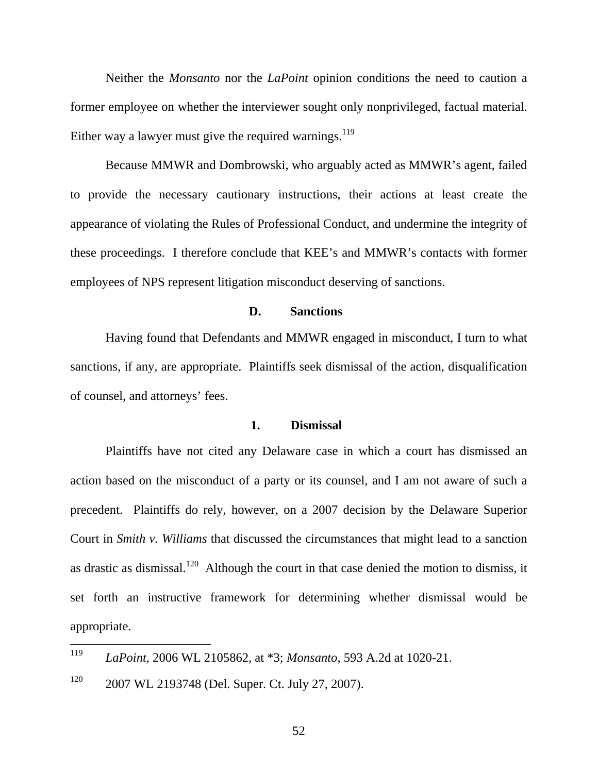Neither the *Monsanto* nor the *LaPoint* opinion conditions the need to caution a former employee on whether the interviewer sought only nonprivileged, factual material. Either way a lawyer must give the required warnings.<sup>119</sup>

Because MMWR and Dombrowski, who arguably acted as MMWR's agent, failed to provide the necessary cautionary instructions, their actions at least create the appearance of violating the Rules of Professional Conduct, and undermine the integrity of these proceedings. I therefore conclude that KEE's and MMWR's contacts with former employees of NPS represent litigation misconduct deserving of sanctions.

### **D. Sanctions**

Having found that Defendants and MMWR engaged in misconduct, I turn to what sanctions, if any, are appropriate. Plaintiffs seek dismissal of the action, disqualification of counsel, and attorneys' fees.

### **1. Dismissal**

Plaintiffs have not cited any Delaware case in which a court has dismissed an action based on the misconduct of a party or its counsel, and I am not aware of such a precedent. Plaintiffs do rely, however, on a 2007 decision by the Delaware Superior Court in *Smith v. Williams* that discussed the circumstances that might lead to a sanction as drastic as dismissal.<sup>120</sup> Although the court in that case denied the motion to dismiss, it set forth an instructive framework for determining whether dismissal would be appropriate.

 <sup>119</sup> *LaPoint*, 2006 WL 2105862, at \*3; *Monsanto*, 593 A.2d at 1020-21.

<sup>&</sup>lt;sup>120</sup> 2007 WL 2193748 (Del. Super. Ct. July 27, 2007).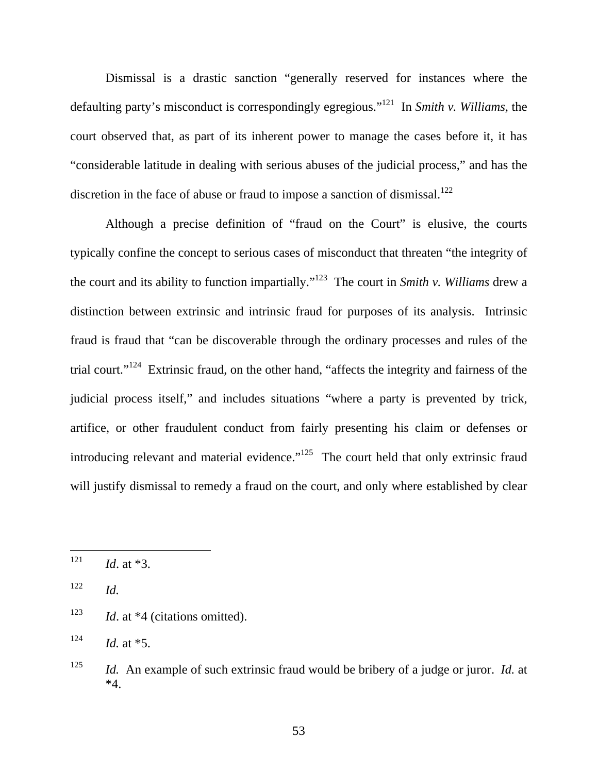Dismissal is a drastic sanction "generally reserved for instances where the defaulting party's misconduct is correspondingly egregious."121 In *Smith v. Williams*, the court observed that, as part of its inherent power to manage the cases before it, it has "considerable latitude in dealing with serious abuses of the judicial process," and has the discretion in the face of abuse or fraud to impose a sanction of dismissal.<sup>122</sup>

Although a precise definition of "fraud on the Court" is elusive, the courts typically confine the concept to serious cases of misconduct that threaten "the integrity of the court and its ability to function impartially."123 The court in *Smith v. Williams* drew a distinction between extrinsic and intrinsic fraud for purposes of its analysis. Intrinsic fraud is fraud that "can be discoverable through the ordinary processes and rules of the trial court."124 Extrinsic fraud, on the other hand, "affects the integrity and fairness of the judicial process itself," and includes situations "where a party is prevented by trick, artifice, or other fraudulent conduct from fairly presenting his claim or defenses or introducing relevant and material evidence."<sup>125</sup> The court held that only extrinsic fraud will justify dismissal to remedy a fraud on the court, and only where established by clear

 $122$  *Id.* 

 $124$  *Id.* at \*5.

 $121$  *Id.* at \*3.

<sup>&</sup>lt;sup>123</sup> *Id.* at \*4 (citations omitted).

<sup>125</sup> *Id.* An example of such extrinsic fraud would be bribery of a judge or juror. *Id.* at \*4.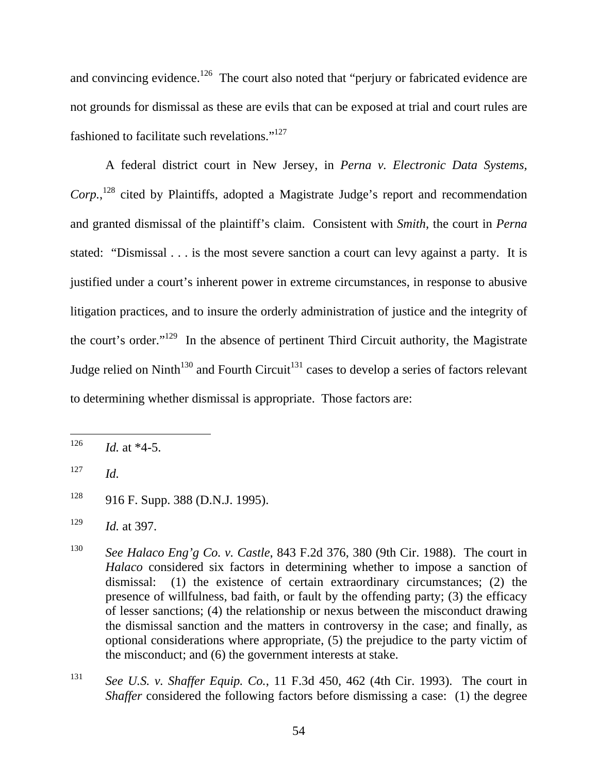and convincing evidence.<sup>126</sup> The court also noted that "perjury or fabricated evidence are not grounds for dismissal as these are evils that can be exposed at trial and court rules are fashioned to facilitate such revelations."127

A federal district court in New Jersey, in *Perna v. Electronic Data Systems,*  Corp.,<sup>128</sup> cited by Plaintiffs, adopted a Magistrate Judge's report and recommendation and granted dismissal of the plaintiff's claim. Consistent with *Smith*, the court in *Perna* stated: "Dismissal . . . is the most severe sanction a court can levy against a party. It is justified under a court's inherent power in extreme circumstances, in response to abusive litigation practices, and to insure the orderly administration of justice and the integrity of the court's order."129 In the absence of pertinent Third Circuit authority, the Magistrate Judge relied on Ninth<sup>130</sup> and Fourth Circuit<sup>131</sup> cases to develop a series of factors relevant to determining whether dismissal is appropriate. Those factors are:

 $126$  *Id.* at  $*4-5$ .

 $127$  *Id.* 

 $128$  916 F. Supp. 388 (D.N.J. 1995).

<sup>129</sup> *Id.* at 397.

<sup>130</sup> *See Halaco Eng'g Co. v. Castle*, 843 F.2d 376, 380 (9th Cir. 1988). The court in *Halaco* considered six factors in determining whether to impose a sanction of dismissal: (1) the existence of certain extraordinary circumstances; (2) the presence of willfulness, bad faith, or fault by the offending party; (3) the efficacy of lesser sanctions; (4) the relationship or nexus between the misconduct drawing the dismissal sanction and the matters in controversy in the case; and finally, as optional considerations where appropriate, (5) the prejudice to the party victim of the misconduct; and (6) the government interests at stake.

<sup>131</sup> *See U.S. v. Shaffer Equip. Co.*, 11 F.3d 450, 462 (4th Cir. 1993). The court in *Shaffer* considered the following factors before dismissing a case: (1) the degree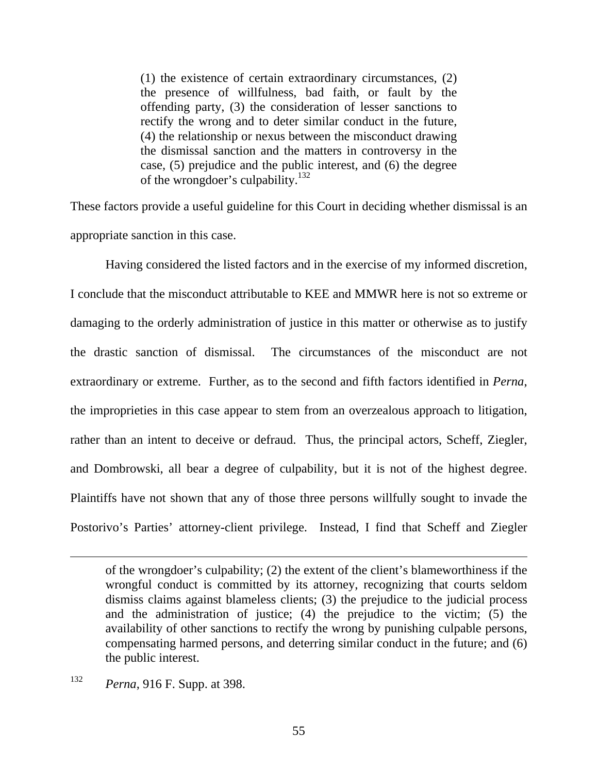(1) the existence of certain extraordinary circumstances, (2) the presence of willfulness, bad faith, or fault by the offending party, (3) the consideration of lesser sanctions to rectify the wrong and to deter similar conduct in the future, (4) the relationship or nexus between the misconduct drawing the dismissal sanction and the matters in controversy in the case, (5) prejudice and the public interest, and (6) the degree of the wrongdoer's culpability.<sup>132</sup>

These factors provide a useful guideline for this Court in deciding whether dismissal is an appropriate sanction in this case.

Having considered the listed factors and in the exercise of my informed discretion, I conclude that the misconduct attributable to KEE and MMWR here is not so extreme or damaging to the orderly administration of justice in this matter or otherwise as to justify the drastic sanction of dismissal. The circumstances of the misconduct are not extraordinary or extreme. Further, as to the second and fifth factors identified in *Perna*, the improprieties in this case appear to stem from an overzealous approach to litigation, rather than an intent to deceive or defraud. Thus, the principal actors, Scheff, Ziegler, and Dombrowski, all bear a degree of culpability, but it is not of the highest degree. Plaintiffs have not shown that any of those three persons willfully sought to invade the Postorivo's Parties' attorney-client privilege. Instead, I find that Scheff and Ziegler

of the wrongdoer's culpability; (2) the extent of the client's blameworthiness if the wrongful conduct is committed by its attorney, recognizing that courts seldom dismiss claims against blameless clients; (3) the prejudice to the judicial process and the administration of justice; (4) the prejudice to the victim;  $(5)$  the availability of other sanctions to rectify the wrong by punishing culpable persons, compensating harmed persons, and deterring similar conduct in the future; and (6) the public interest.

<sup>132</sup> *Perna*, 916 F. Supp. at 398.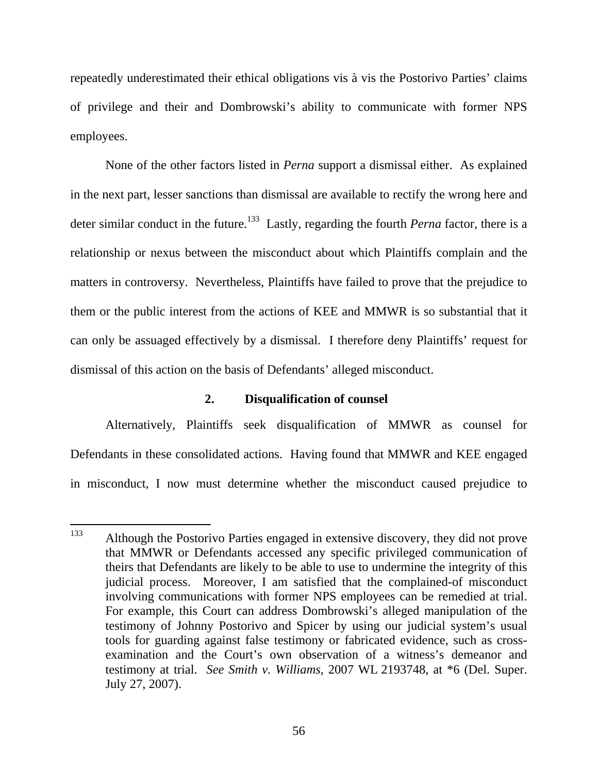repeatedly underestimated their ethical obligations vis à vis the Postorivo Parties' claims of privilege and their and Dombrowski's ability to communicate with former NPS employees.

None of the other factors listed in *Perna* support a dismissal either. As explained in the next part, lesser sanctions than dismissal are available to rectify the wrong here and deter similar conduct in the future.<sup>133</sup> Lastly, regarding the fourth *Perna* factor, there is a relationship or nexus between the misconduct about which Plaintiffs complain and the matters in controversy. Nevertheless, Plaintiffs have failed to prove that the prejudice to them or the public interest from the actions of KEE and MMWR is so substantial that it can only be assuaged effectively by a dismissal. I therefore deny Plaintiffs' request for dismissal of this action on the basis of Defendants' alleged misconduct.

# **2. Disqualification of counsel**

Alternatively, Plaintiffs seek disqualification of MMWR as counsel for Defendants in these consolidated actions. Having found that MMWR and KEE engaged in misconduct, I now must determine whether the misconduct caused prejudice to

<sup>&</sup>lt;sup>133</sup> Although the Postorivo Parties engaged in extensive discovery, they did not prove that MMWR or Defendants accessed any specific privileged communication of theirs that Defendants are likely to be able to use to undermine the integrity of this judicial process. Moreover, I am satisfied that the complained-of misconduct involving communications with former NPS employees can be remedied at trial. For example, this Court can address Dombrowski's alleged manipulation of the testimony of Johnny Postorivo and Spicer by using our judicial system's usual tools for guarding against false testimony or fabricated evidence, such as crossexamination and the Court's own observation of a witness's demeanor and testimony at trial. *See Smith v. Williams*, 2007 WL 2193748, at \*6 (Del. Super. July 27, 2007).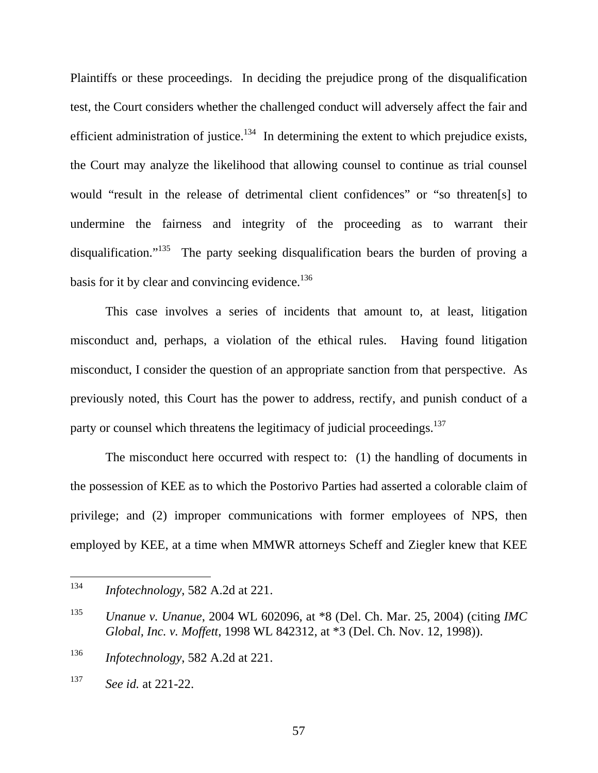Plaintiffs or these proceedings. In deciding the prejudice prong of the disqualification test, the Court considers whether the challenged conduct will adversely affect the fair and efficient administration of justice.<sup>134</sup> In determining the extent to which prejudice exists, the Court may analyze the likelihood that allowing counsel to continue as trial counsel would "result in the release of detrimental client confidences" or "so threaten[s] to undermine the fairness and integrity of the proceeding as to warrant their disqualification."<sup>135</sup> The party seeking disqualification bears the burden of proving a basis for it by clear and convincing evidence.<sup>136</sup>

This case involves a series of incidents that amount to, at least, litigation misconduct and, perhaps, a violation of the ethical rules. Having found litigation misconduct, I consider the question of an appropriate sanction from that perspective. As previously noted, this Court has the power to address, rectify, and punish conduct of a party or counsel which threatens the legitimacy of judicial proceedings.<sup>137</sup>

The misconduct here occurred with respect to: (1) the handling of documents in the possession of KEE as to which the Postorivo Parties had asserted a colorable claim of privilege; and (2) improper communications with former employees of NPS, then employed by KEE, at a time when MMWR attorneys Scheff and Ziegler knew that KEE

57

 <sup>134</sup> *Infotechnology*, 582 A.2d at 221.

<sup>135</sup> *Unanue v. Unanue*, 2004 WL 602096, at \*8 (Del. Ch. Mar. 25, 2004) (citing *IMC Global, Inc. v. Moffett*, 1998 WL 842312, at \*3 (Del. Ch. Nov. 12, 1998)).

<sup>136</sup> *Infotechnology*, 582 A.2d at 221.

<sup>137</sup> *See id.* at 221-22.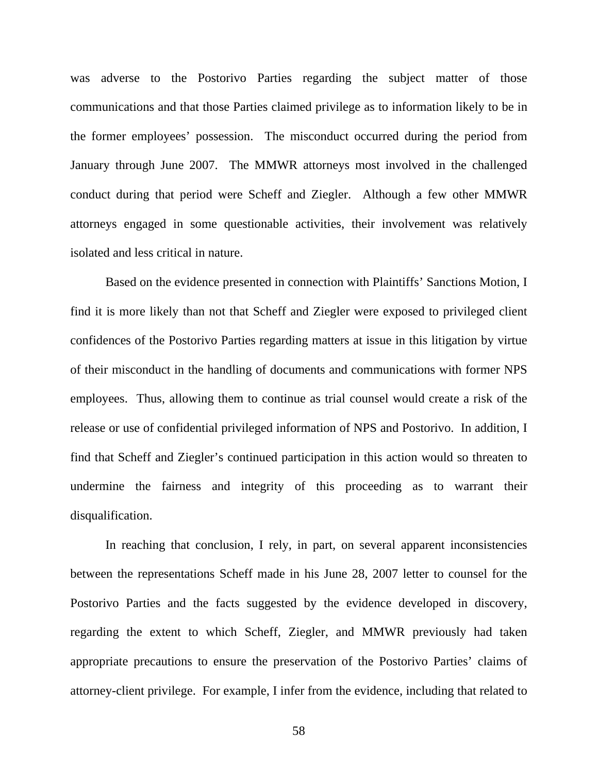was adverse to the Postorivo Parties regarding the subject matter of those communications and that those Parties claimed privilege as to information likely to be in the former employees' possession. The misconduct occurred during the period from January through June 2007. The MMWR attorneys most involved in the challenged conduct during that period were Scheff and Ziegler. Although a few other MMWR attorneys engaged in some questionable activities, their involvement was relatively isolated and less critical in nature.

Based on the evidence presented in connection with Plaintiffs' Sanctions Motion, I find it is more likely than not that Scheff and Ziegler were exposed to privileged client confidences of the Postorivo Parties regarding matters at issue in this litigation by virtue of their misconduct in the handling of documents and communications with former NPS employees. Thus, allowing them to continue as trial counsel would create a risk of the release or use of confidential privileged information of NPS and Postorivo. In addition, I find that Scheff and Ziegler's continued participation in this action would so threaten to undermine the fairness and integrity of this proceeding as to warrant their disqualification.

In reaching that conclusion, I rely, in part, on several apparent inconsistencies between the representations Scheff made in his June 28, 2007 letter to counsel for the Postorivo Parties and the facts suggested by the evidence developed in discovery, regarding the extent to which Scheff, Ziegler, and MMWR previously had taken appropriate precautions to ensure the preservation of the Postorivo Parties' claims of attorney-client privilege. For example, I infer from the evidence, including that related to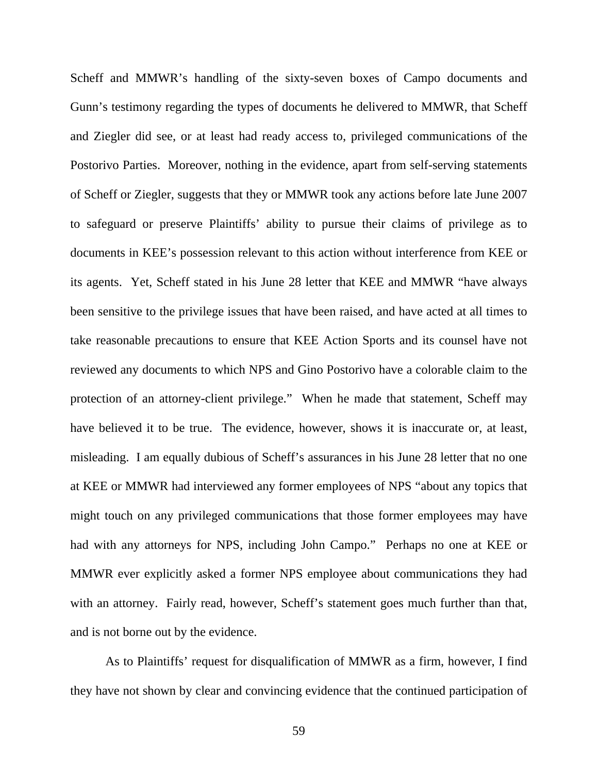Scheff and MMWR's handling of the sixty-seven boxes of Campo documents and Gunn's testimony regarding the types of documents he delivered to MMWR, that Scheff and Ziegler did see, or at least had ready access to, privileged communications of the Postorivo Parties. Moreover, nothing in the evidence, apart from self-serving statements of Scheff or Ziegler, suggests that they or MMWR took any actions before late June 2007 to safeguard or preserve Plaintiffs' ability to pursue their claims of privilege as to documents in KEE's possession relevant to this action without interference from KEE or its agents. Yet, Scheff stated in his June 28 letter that KEE and MMWR "have always been sensitive to the privilege issues that have been raised, and have acted at all times to take reasonable precautions to ensure that KEE Action Sports and its counsel have not reviewed any documents to which NPS and Gino Postorivo have a colorable claim to the protection of an attorney-client privilege." When he made that statement, Scheff may have believed it to be true. The evidence, however, shows it is inaccurate or, at least, misleading. I am equally dubious of Scheff's assurances in his June 28 letter that no one at KEE or MMWR had interviewed any former employees of NPS "about any topics that might touch on any privileged communications that those former employees may have had with any attorneys for NPS, including John Campo." Perhaps no one at KEE or MMWR ever explicitly asked a former NPS employee about communications they had with an attorney. Fairly read, however, Scheff's statement goes much further than that, and is not borne out by the evidence.

As to Plaintiffs' request for disqualification of MMWR as a firm, however, I find they have not shown by clear and convincing evidence that the continued participation of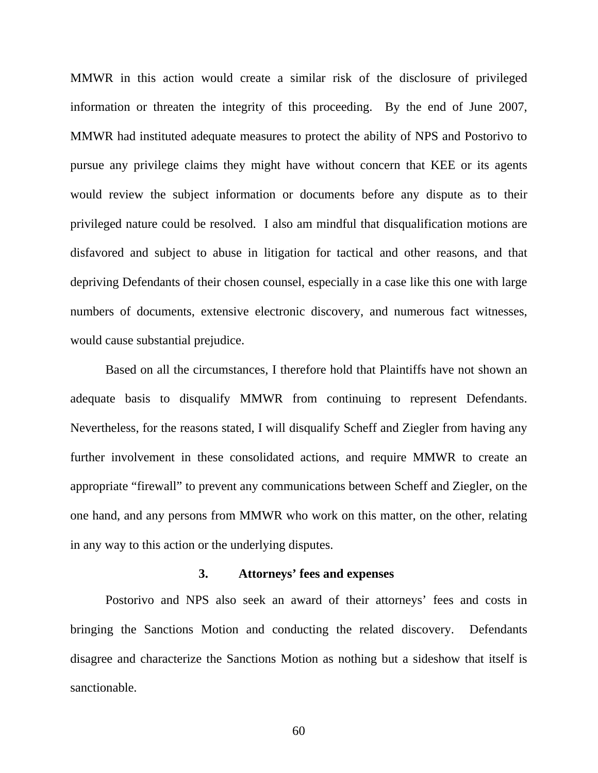MMWR in this action would create a similar risk of the disclosure of privileged information or threaten the integrity of this proceeding. By the end of June 2007, MMWR had instituted adequate measures to protect the ability of NPS and Postorivo to pursue any privilege claims they might have without concern that KEE or its agents would review the subject information or documents before any dispute as to their privileged nature could be resolved. I also am mindful that disqualification motions are disfavored and subject to abuse in litigation for tactical and other reasons, and that depriving Defendants of their chosen counsel, especially in a case like this one with large numbers of documents, extensive electronic discovery, and numerous fact witnesses, would cause substantial prejudice.

Based on all the circumstances, I therefore hold that Plaintiffs have not shown an adequate basis to disqualify MMWR from continuing to represent Defendants. Nevertheless, for the reasons stated, I will disqualify Scheff and Ziegler from having any further involvement in these consolidated actions, and require MMWR to create an appropriate "firewall" to prevent any communications between Scheff and Ziegler, on the one hand, and any persons from MMWR who work on this matter, on the other, relating in any way to this action or the underlying disputes.

### **3. Attorneys' fees and expenses**

Postorivo and NPS also seek an award of their attorneys' fees and costs in bringing the Sanctions Motion and conducting the related discovery. Defendants disagree and characterize the Sanctions Motion as nothing but a sideshow that itself is sanctionable.

60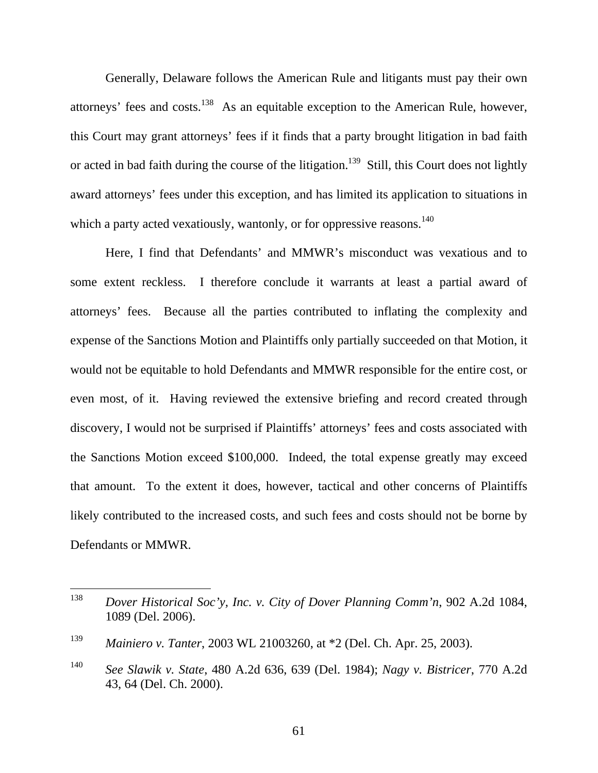Generally, Delaware follows the American Rule and litigants must pay their own attorneys' fees and costs.138 As an equitable exception to the American Rule, however, this Court may grant attorneys' fees if it finds that a party brought litigation in bad faith or acted in bad faith during the course of the litigation.<sup>139</sup> Still, this Court does not lightly award attorneys' fees under this exception, and has limited its application to situations in which a party acted vexatiously, wantonly, or for oppressive reasons.<sup>140</sup>

Here, I find that Defendants' and MMWR's misconduct was vexatious and to some extent reckless. I therefore conclude it warrants at least a partial award of attorneys' fees. Because all the parties contributed to inflating the complexity and expense of the Sanctions Motion and Plaintiffs only partially succeeded on that Motion, it would not be equitable to hold Defendants and MMWR responsible for the entire cost, or even most, of it. Having reviewed the extensive briefing and record created through discovery, I would not be surprised if Plaintiffs' attorneys' fees and costs associated with the Sanctions Motion exceed \$100,000. Indeed, the total expense greatly may exceed that amount. To the extent it does, however, tactical and other concerns of Plaintiffs likely contributed to the increased costs, and such fees and costs should not be borne by Defendants or MMWR.

 <sup>138</sup> *Dover Historical Soc'y, Inc. v. City of Dover Planning Comm'n*, 902 A.2d 1084, 1089 (Del. 2006).

<sup>139</sup> *Mainiero v. Tanter*, 2003 WL 21003260, at \*2 (Del. Ch. Apr. 25, 2003).

<sup>140</sup> *See Slawik v. State*, 480 A.2d 636, 639 (Del. 1984); *Nagy v. Bistricer*, 770 A.2d 43, 64 (Del. Ch. 2000).